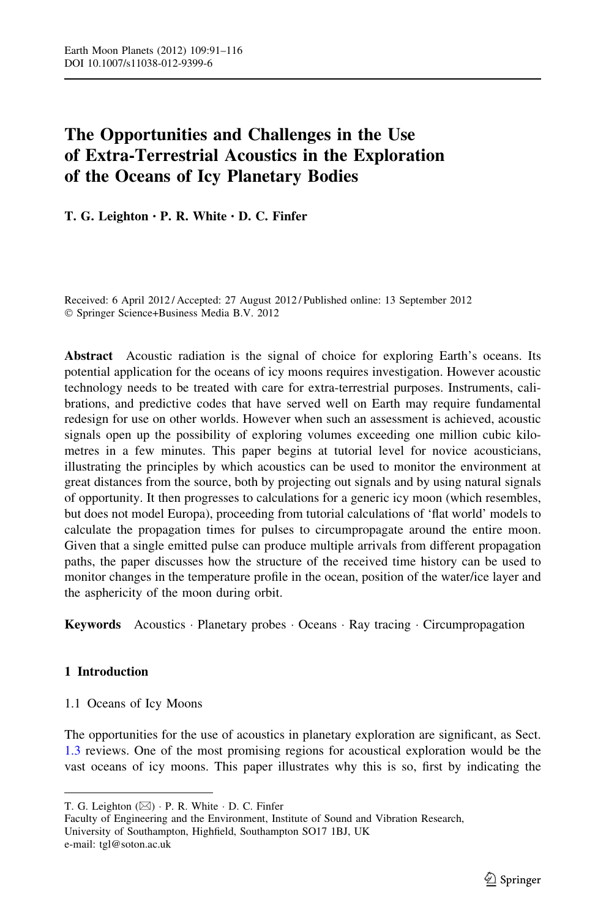# The Opportunities and Challenges in the Use of Extra-Terrestrial Acoustics in the Exploration of the Oceans of Icy Planetary Bodies

T. G. Leighton • P. R. White • D. C. Finfer

Received: 6 April 2012 / Accepted: 27 August 2012 / Published online: 13 September 2012 - Springer Science+Business Media B.V. 2012

Abstract Acoustic radiation is the signal of choice for exploring Earth's oceans. Its potential application for the oceans of icy moons requires investigation. However acoustic technology needs to be treated with care for extra-terrestrial purposes. Instruments, calibrations, and predictive codes that have served well on Earth may require fundamental redesign for use on other worlds. However when such an assessment is achieved, acoustic signals open up the possibility of exploring volumes exceeding one million cubic kilometres in a few minutes. This paper begins at tutorial level for novice acousticians, illustrating the principles by which acoustics can be used to monitor the environment at great distances from the source, both by projecting out signals and by using natural signals of opportunity. It then progresses to calculations for a generic icy moon (which resembles, but does not model Europa), proceeding from tutorial calculations of 'flat world' models to calculate the propagation times for pulses to circumpropagate around the entire moon. Given that a single emitted pulse can produce multiple arrivals from different propagation paths, the paper discusses how the structure of the received time history can be used to monitor changes in the temperature profile in the ocean, position of the water/ice layer and the asphericity of the moon during orbit.

Keywords Acoustics · Planetary probes · Oceans · Ray tracing · Circumpropagation

# 1 Introduction

1.1 Oceans of Icy Moons

The opportunities for the use of acoustics in planetary exploration are significant, as Sect. [1.3](#page-3-0) reviews. One of the most promising regions for acoustical exploration would be the vast oceans of icy moons. This paper illustrates why this is so, first by indicating the

Faculty of Engineering and the Environment, Institute of Sound and Vibration Research, University of Southampton, Highfield, Southampton SO17 1BJ, UK e-mail: tgl@soton.ac.uk

T. G. Leighton  $(\boxtimes) \cdot P$ . R. White  $\cdot$  D. C. Finfer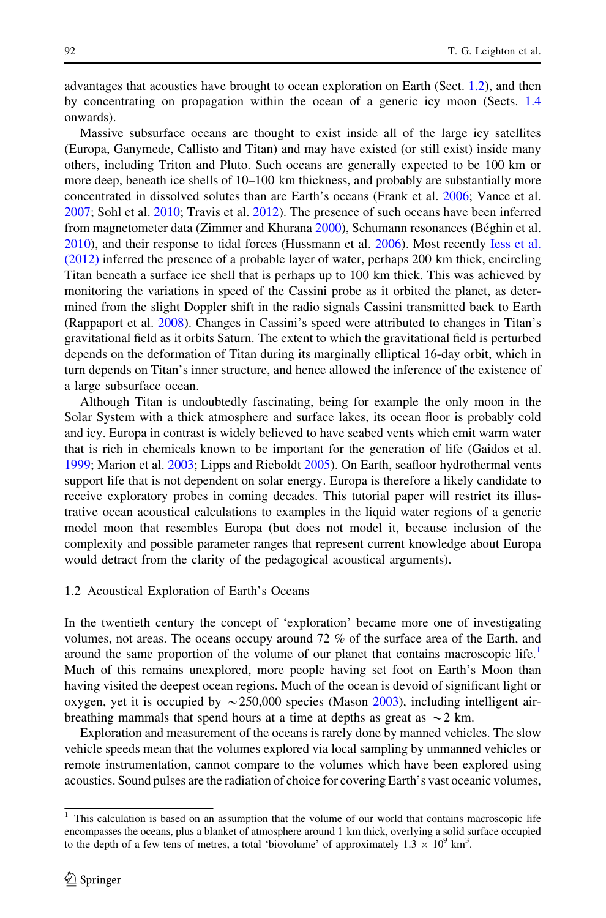advantages that acoustics have brought to ocean exploration on Earth (Sect. 1.2), and then by concentrating on propagation within the ocean of a generic icy moon (Sects. [1.4](#page-4-0) onwards).

Massive subsurface oceans are thought to exist inside all of the large icy satellites (Europa, Ganymede, Callisto and Titan) and may have existed (or still exist) inside many others, including Triton and Pluto. Such oceans are generally expected to be 100 km or more deep, beneath ice shells of 10–100 km thickness, and probably are substantially more concentrated in dissolved solutes than are Earth's oceans (Frank et al. [2006](#page-23-0); Vance et al. [2007;](#page-25-0) Sohl et al. [2010;](#page-25-0) Travis et al. [2012](#page-25-0)). The presence of such oceans have been inferred from magnetometer data (Zimmer and Khurana [2000\)](#page-25-0), Schumann resonances (Béghin et al. [2010\)](#page-23-0), and their response to tidal forces (Hussmann et al. [2006](#page-23-0)). Most recently [Iess et al.](#page-23-0) [\(2012\)](#page-23-0) inferred the presence of a probable layer of water, perhaps 200 km thick, encircling Titan beneath a surface ice shell that is perhaps up to 100 km thick. This was achieved by monitoring the variations in speed of the Cassini probe as it orbited the planet, as determined from the slight Doppler shift in the radio signals Cassini transmitted back to Earth (Rappaport et al. [2008\)](#page-25-0). Changes in Cassini's speed were attributed to changes in Titan's gravitational field as it orbits Saturn. The extent to which the gravitational field is perturbed depends on the deformation of Titan during its marginally elliptical 16-day orbit, which in turn depends on Titan's inner structure, and hence allowed the inference of the existence of a large subsurface ocean.

Although Titan is undoubtedly fascinating, being for example the only moon in the Solar System with a thick atmosphere and surface lakes, its ocean floor is probably cold and icy. Europa in contrast is widely believed to have seabed vents which emit warm water that is rich in chemicals known to be important for the generation of life (Gaidos et al. [1999;](#page-23-0) Marion et al. [2003;](#page-24-0) Lipps and Rieboldt [2005\)](#page-24-0). On Earth, seafloor hydrothermal vents support life that is not dependent on solar energy. Europa is therefore a likely candidate to receive exploratory probes in coming decades. This tutorial paper will restrict its illustrative ocean acoustical calculations to examples in the liquid water regions of a generic model moon that resembles Europa (but does not model it, because inclusion of the complexity and possible parameter ranges that represent current knowledge about Europa would detract from the clarity of the pedagogical acoustical arguments).

# 1.2 Acoustical Exploration of Earth's Oceans

In the twentieth century the concept of 'exploration' became more one of investigating volumes, not areas. The oceans occupy around 72 % of the surface area of the Earth, and around the same proportion of the volume of our planet that contains macroscopic life.<sup>1</sup> Much of this remains unexplored, more people having set foot on Earth's Moon than having visited the deepest ocean regions. Much of the ocean is devoid of significant light or oxygen, yet it is occupied by  $\sim$  250,000 species (Mason [2003](#page-24-0)), including intelligent airbreathing mammals that spend hours at a time at depths as great as  $\sim$  2 km.

Exploration and measurement of the oceans is rarely done by manned vehicles. The slow vehicle speeds mean that the volumes explored via local sampling by unmanned vehicles or remote instrumentation, cannot compare to the volumes which have been explored using acoustics. Sound pulses are the radiation of choice for covering Earth's vast oceanic volumes,

<sup>&</sup>lt;sup>1</sup> This calculation is based on an assumption that the volume of our world that contains macroscopic life encompasses the oceans, plus a blanket of atmosphere around 1 km thick, overlying a solid surface occupied to the depth of a few tens of metres, a total 'biovolume' of approximately  $1.3 \times 10^9$  km<sup>3</sup>.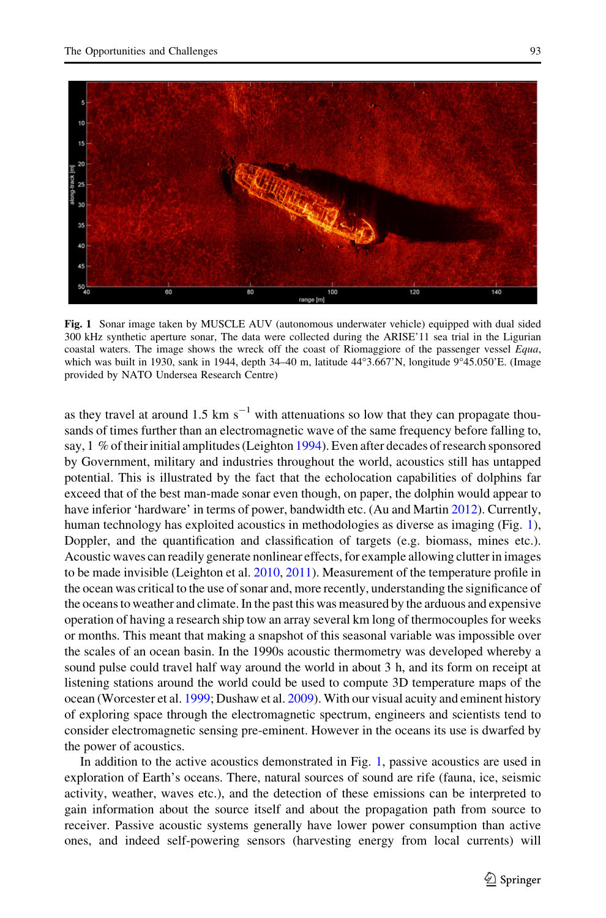

Fig. 1 Sonar image taken by MUSCLE AUV (autonomous underwater vehicle) equipped with dual sided 300 kHz synthetic aperture sonar, The data were collected during the ARISE'11 sea trial in the Ligurian coastal waters. The image shows the wreck off the coast of Riomaggiore of the passenger vessel Equa, which was built in 1930, sank in 1944, depth 34-40 m, latitude 44°3.667'N, longitude 9°45.050'E. (Image provided by NATO Undersea Research Centre)

as they travel at around 1.5 km  $s^{-1}$  with attenuations so low that they can propagate thousands of times further than an electromagnetic wave of the same frequency before falling to, say,  $1\%$  of their initial amplitudes (Leighton [1994](#page-24-0)). Even after decades of research sponsored by Government, military and industries throughout the world, acoustics still has untapped potential. This is illustrated by the fact that the echolocation capabilities of dolphins far exceed that of the best man-made sonar even though, on paper, the dolphin would appear to have inferior 'hardware' in terms of power, bandwidth etc. (Au and Martin [2012](#page-23-0)). Currently, human technology has exploited acoustics in methodologies as diverse as imaging (Fig. 1), Doppler, and the quantification and classification of targets (e.g. biomass, mines etc.). Acoustic waves can readily generate nonlinear effects, for example allowing clutter in images to be made invisible (Leighton et al. [2010](#page-24-0), [2011](#page-24-0)). Measurement of the temperature profile in the ocean was critical to the use of sonar and, more recently, understanding the significance of the oceans to weather and climate. In the past this was measured by the arduous and expensive operation of having a research ship tow an array several km long of thermocouples for weeks or months. This meant that making a snapshot of this seasonal variable was impossible over the scales of an ocean basin. In the 1990s acoustic thermometry was developed whereby a sound pulse could travel half way around the world in about 3 h, and its form on receipt at listening stations around the world could be used to compute 3D temperature maps of the ocean (Worcester et al. [1999;](#page-25-0) Dushaw et al. [2009\)](#page-23-0). With our visual acuity and eminent history of exploring space through the electromagnetic spectrum, engineers and scientists tend to consider electromagnetic sensing pre-eminent. However in the oceans its use is dwarfed by the power of acoustics.

In addition to the active acoustics demonstrated in Fig. 1, passive acoustics are used in exploration of Earth's oceans. There, natural sources of sound are rife (fauna, ice, seismic activity, weather, waves etc.), and the detection of these emissions can be interpreted to gain information about the source itself and about the propagation path from source to receiver. Passive acoustic systems generally have lower power consumption than active ones, and indeed self-powering sensors (harvesting energy from local currents) will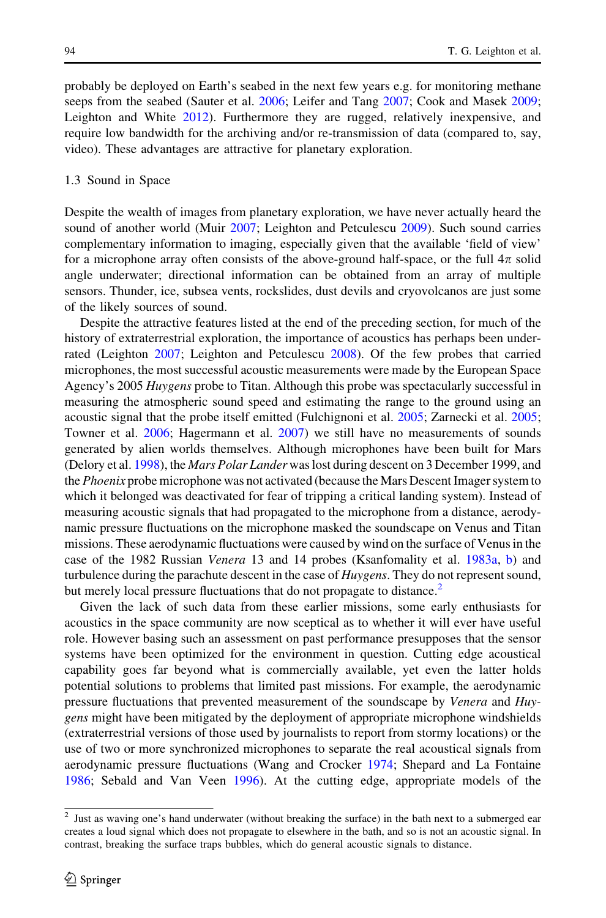<span id="page-3-0"></span>probably be deployed on Earth's seabed in the next few years e.g. for monitoring methane seeps from the seabed (Sauter et al. [2006;](#page-25-0) Leifer and Tang [2007;](#page-24-0) Cook and Masek [2009;](#page-23-0) Leighton and White [2012\)](#page-24-0). Furthermore they are rugged, relatively inexpensive, and require low bandwidth for the archiving and/or re-transmission of data (compared to, say, video). These advantages are attractive for planetary exploration.

#### 1.3 Sound in Space

Despite the wealth of images from planetary exploration, we have never actually heard the sound of another world (Muir [2007](#page-25-0); Leighton and Petculescu [2009\)](#page-24-0). Such sound carries complementary information to imaging, especially given that the available 'field of view' for a microphone array often consists of the above-ground half-space, or the full  $4\pi$  solid angle underwater; directional information can be obtained from an array of multiple sensors. Thunder, ice, subsea vents, rockslides, dust devils and cryovolcanos are just some of the likely sources of sound.

Despite the attractive features listed at the end of the preceding section, for much of the history of extraterrestrial exploration, the importance of acoustics has perhaps been underrated (Leighton [2007](#page-24-0); Leighton and Petculescu [2008\)](#page-24-0). Of the few probes that carried microphones, the most successful acoustic measurements were made by the European Space Agency's 2005 Huygens probe to Titan. Although this probe was spectacularly successful in measuring the atmospheric sound speed and estimating the range to the ground using an acoustic signal that the probe itself emitted (Fulchignoni et al. [2005](#page-23-0); Zarnecki et al. [2005;](#page-25-0) Towner et al. [2006](#page-25-0); Hagermann et al. [2007\)](#page-23-0) we still have no measurements of sounds generated by alien worlds themselves. Although microphones have been built for Mars (Delory et al. [1998](#page-23-0)), the *Mars Polar Lander* was lost during descent on 3 December 1999, and the Phoenix probe microphone was not activated (because the Mars Descent Imager system to which it belonged was deactivated for fear of tripping a critical landing system). Instead of measuring acoustic signals that had propagated to the microphone from a distance, aerodynamic pressure fluctuations on the microphone masked the soundscape on Venus and Titan missions. These aerodynamic fluctuations were caused by wind on the surface of Venus in the case of the 1982 Russian Venera 13 and 14 probes (Ksanfomality et al. [1983a,](#page-24-0) [b\)](#page-24-0) and turbulence during the parachute descent in the case of *Huygens*. They do not represent sound, but merely local pressure fluctuations that do not propagate to distance.<sup>2</sup>

Given the lack of such data from these earlier missions, some early enthusiasts for acoustics in the space community are now sceptical as to whether it will ever have useful role. However basing such an assessment on past performance presupposes that the sensor systems have been optimized for the environment in question. Cutting edge acoustical capability goes far beyond what is commercially available, yet even the latter holds potential solutions to problems that limited past missions. For example, the aerodynamic pressure fluctuations that prevented measurement of the soundscape by Venera and Huygens might have been mitigated by the deployment of appropriate microphone windshields (extraterrestrial versions of those used by journalists to report from stormy locations) or the use of two or more synchronized microphones to separate the real acoustical signals from aerodynamic pressure fluctuations (Wang and Crocker [1974](#page-25-0); Shepard and La Fontaine [1986;](#page-25-0) Sebald and Van Veen [1996](#page-25-0)). At the cutting edge, appropriate models of the

<sup>&</sup>lt;sup>2</sup> Just as waving one's hand underwater (without breaking the surface) in the bath next to a submerged ear creates a loud signal which does not propagate to elsewhere in the bath, and so is not an acoustic signal. In contrast, breaking the surface traps bubbles, which do general acoustic signals to distance.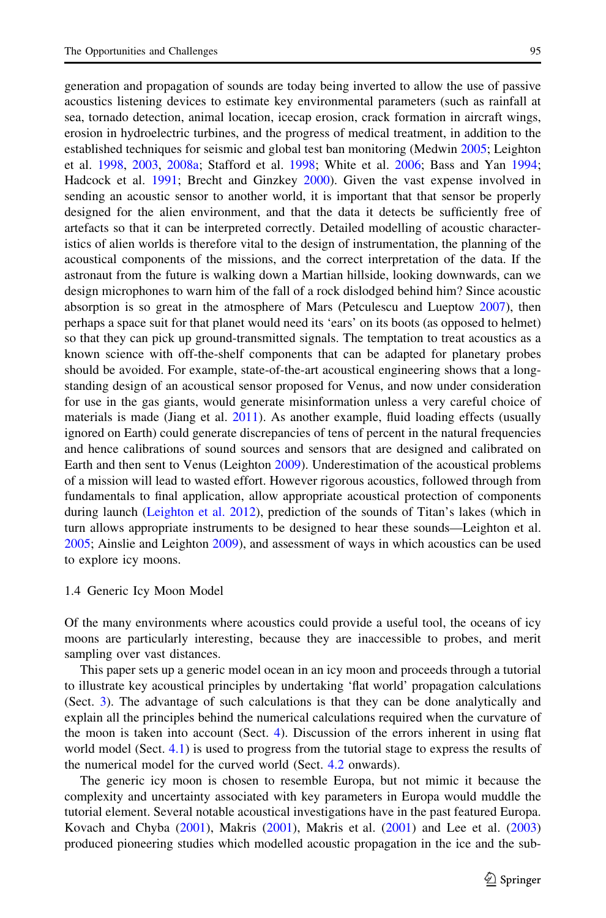<span id="page-4-0"></span>generation and propagation of sounds are today being inverted to allow the use of passive acoustics listening devices to estimate key environmental parameters (such as rainfall at sea, tornado detection, animal location, icecap erosion, crack formation in aircraft wings, erosion in hydroelectric turbines, and the progress of medical treatment, in addition to the established techniques for seismic and global test ban monitoring (Medwin [2005](#page-24-0); Leighton et al. [1998,](#page-24-0) [2003,](#page-24-0) [2008a](#page-24-0); Stafford et al. [1998;](#page-25-0) White et al. [2006](#page-25-0); Bass and Yan [1994;](#page-23-0) Hadcock et al. [1991;](#page-23-0) Brecht and Ginzkey [2000](#page-23-0)). Given the vast expense involved in sending an acoustic sensor to another world, it is important that that sensor be properly designed for the alien environment, and that the data it detects be sufficiently free of artefacts so that it can be interpreted correctly. Detailed modelling of acoustic characteristics of alien worlds is therefore vital to the design of instrumentation, the planning of the acoustical components of the missions, and the correct interpretation of the data. If the astronaut from the future is walking down a Martian hillside, looking downwards, can we design microphones to warn him of the fall of a rock dislodged behind him? Since acoustic absorption is so great in the atmosphere of Mars (Petculescu and Lueptow [2007\)](#page-25-0), then perhaps a space suit for that planet would need its 'ears' on its boots (as opposed to helmet) so that they can pick up ground-transmitted signals. The temptation to treat acoustics as a known science with off-the-shelf components that can be adapted for planetary probes should be avoided. For example, state-of-the-art acoustical engineering shows that a longstanding design of an acoustical sensor proposed for Venus, and now under consideration for use in the gas giants, would generate misinformation unless a very careful choice of materials is made (Jiang et al. [2011\)](#page-23-0). As another example, fluid loading effects (usually ignored on Earth) could generate discrepancies of tens of percent in the natural frequencies and hence calibrations of sound sources and sensors that are designed and calibrated on Earth and then sent to Venus (Leighton [2009](#page-24-0)). Underestimation of the acoustical problems of a mission will lead to wasted effort. However rigorous acoustics, followed through from fundamentals to final application, allow appropriate acoustical protection of components during launch [\(Leighton et al. 2012\)](#page-24-0), prediction of the sounds of Titan's lakes (which in turn allows appropriate instruments to be designed to hear these sounds—Leighton et al. [2005;](#page-24-0) Ainslie and Leighton [2009](#page-22-0)), and assessment of ways in which acoustics can be used to explore icy moons.

#### 1.4 Generic Icy Moon Model

Of the many environments where acoustics could provide a useful tool, the oceans of icy moons are particularly interesting, because they are inaccessible to probes, and merit sampling over vast distances.

This paper sets up a generic model ocean in an icy moon and proceeds through a tutorial to illustrate key acoustical principles by undertaking 'flat world' propagation calculations (Sect. [3](#page-9-0)). The advantage of such calculations is that they can be done analytically and explain all the principles behind the numerical calculations required when the curvature of the moon is taken into account (Sect. [4\)](#page-12-0). Discussion of the errors inherent in using flat world model (Sect. [4.1](#page-13-0)) is used to progress from the tutorial stage to express the results of the numerical model for the curved world (Sect. [4.2](#page-14-0) onwards).

The generic icy moon is chosen to resemble Europa, but not mimic it because the complexity and uncertainty associated with key parameters in Europa would muddle the tutorial element. Several notable acoustical investigations have in the past featured Europa. Kovach and Chyba ([2001](#page-24-0)), Makris [\(2001](#page-24-0)), Makris et al. ([2001\)](#page-24-0) and Lee et al. ([2003](#page-24-0)) produced pioneering studies which modelled acoustic propagation in the ice and the sub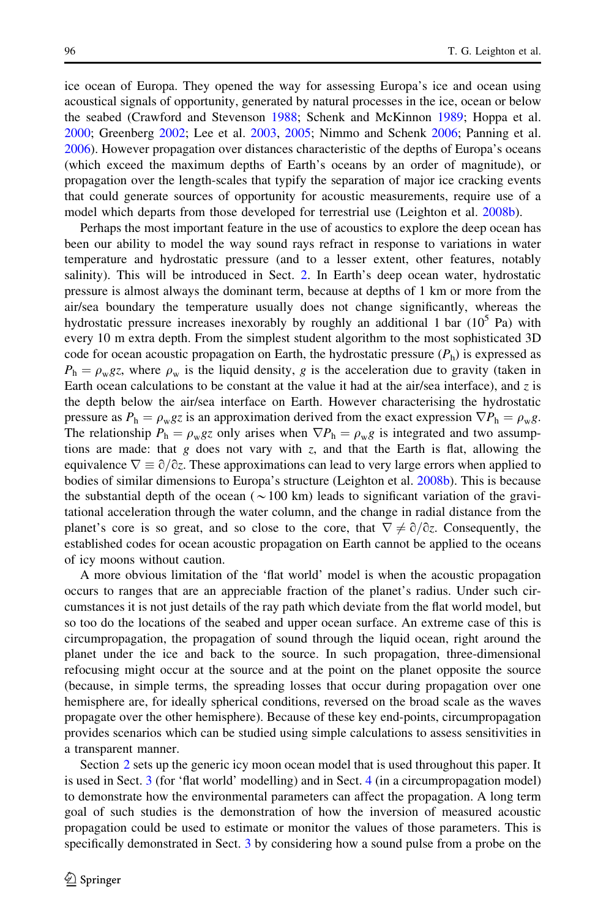ice ocean of Europa. They opened the way for assessing Europa's ice and ocean using acoustical signals of opportunity, generated by natural processes in the ice, ocean or below the seabed (Crawford and Stevenson [1988;](#page-23-0) Schenk and McKinnon [1989](#page-25-0); Hoppa et al. [2000;](#page-23-0) Greenberg [2002](#page-23-0); Lee et al. [2003,](#page-24-0) [2005;](#page-24-0) Nimmo and Schenk [2006;](#page-25-0) Panning et al. [2006\)](#page-25-0). However propagation over distances characteristic of the depths of Europa's oceans (which exceed the maximum depths of Earth's oceans by an order of magnitude), or propagation over the length-scales that typify the separation of major ice cracking events that could generate sources of opportunity for acoustic measurements, require use of a model which departs from those developed for terrestrial use (Leighton et al. [2008b\)](#page-24-0).

Perhaps the most important feature in the use of acoustics to explore the deep ocean has been our ability to model the way sound rays refract in response to variations in water temperature and hydrostatic pressure (and to a lesser extent, other features, notably salinity). This will be introduced in Sect. [2.](#page-6-0) In Earth's deep ocean water, hydrostatic pressure is almost always the dominant term, because at depths of 1 km or more from the air/sea boundary the temperature usually does not change significantly, whereas the hydrostatic pressure increases inexorably by roughly an additional 1 bar  $(10^5 \text{ Pa})$  with every 10 m extra depth. From the simplest student algorithm to the most sophisticated 3D code for ocean acoustic propagation on Earth, the hydrostatic pressure  $(P_h)$  is expressed as  $P_h = \rho_w g_z$ , where  $\rho_w$  is the liquid density, g is the acceleration due to gravity (taken in Earth ocean calculations to be constant at the value it had at the air/sea interface), and  $z$  is the depth below the air/sea interface on Earth. However characterising the hydrostatic pressure as  $P_h = \rho_w gz$  is an approximation derived from the exact expression  $\nabla P_h = \rho_w g$ . The relationship  $P_h = \rho_w gz$  only arises when  $\nabla P_h = \rho_w g$  is integrated and two assumptions are made: that  $g$  does not vary with  $z$ , and that the Earth is flat, allowing the equivalence  $\nabla \equiv \partial/\partial z$ . These approximations can lead to very large errors when applied to bodies of similar dimensions to Europa's structure (Leighton et al. [2008b](#page-24-0)). This is because the substantial depth of the ocean ( $\sim$ 100 km) leads to significant variation of the gravitational acceleration through the water column, and the change in radial distance from the planet's core is so great, and so close to the core, that  $\nabla \neq \partial/\partial z$ . Consequently, the established codes for ocean acoustic propagation on Earth cannot be applied to the oceans of icy moons without caution.

A more obvious limitation of the 'flat world' model is when the acoustic propagation occurs to ranges that are an appreciable fraction of the planet's radius. Under such circumstances it is not just details of the ray path which deviate from the flat world model, but so too do the locations of the seabed and upper ocean surface. An extreme case of this is circumpropagation, the propagation of sound through the liquid ocean, right around the planet under the ice and back to the source. In such propagation, three-dimensional refocusing might occur at the source and at the point on the planet opposite the source (because, in simple terms, the spreading losses that occur during propagation over one hemisphere are, for ideally spherical conditions, reversed on the broad scale as the waves propagate over the other hemisphere). Because of these key end-points, circumpropagation provides scenarios which can be studied using simple calculations to assess sensitivities in a transparent manner.

Section [2](#page-6-0) sets up the generic icy moon ocean model that is used throughout this paper. It is used in Sect. [3](#page-9-0) (for 'flat world' modelling) and in Sect. [4](#page-12-0) (in a circumpropagation model) to demonstrate how the environmental parameters can affect the propagation. A long term goal of such studies is the demonstration of how the inversion of measured acoustic propagation could be used to estimate or monitor the values of those parameters. This is specifically demonstrated in Sect. [3](#page-9-0) by considering how a sound pulse from a probe on the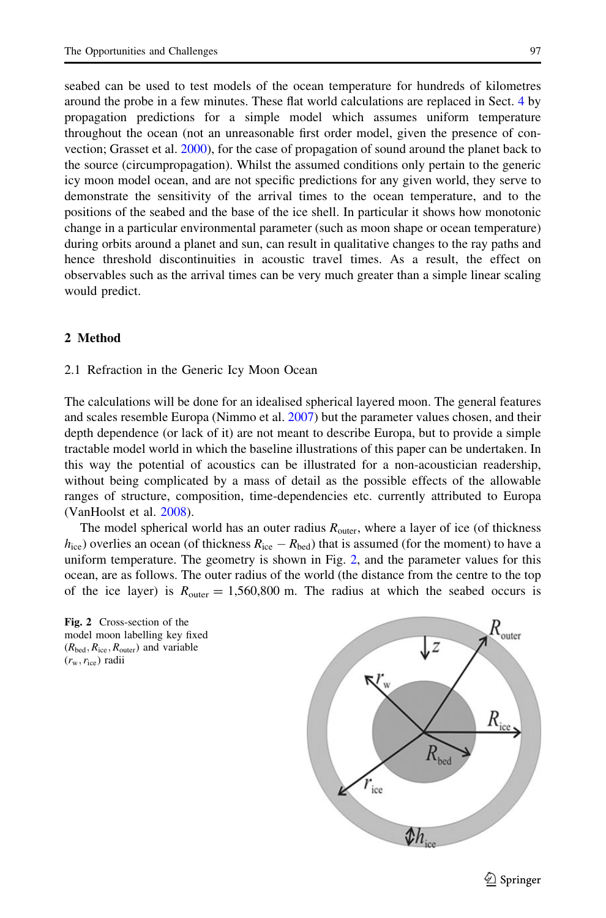<span id="page-6-0"></span>seabed can be used to test models of the ocean temperature for hundreds of kilometres around the probe in a few minutes. These flat world calculations are replaced in Sect. [4](#page-12-0) by propagation predictions for a simple model which assumes uniform temperature throughout the ocean (not an unreasonable first order model, given the presence of convection; Grasset et al. [2000](#page-23-0)), for the case of propagation of sound around the planet back to the source (circumpropagation). Whilst the assumed conditions only pertain to the generic icy moon model ocean, and are not specific predictions for any given world, they serve to demonstrate the sensitivity of the arrival times to the ocean temperature, and to the positions of the seabed and the base of the ice shell. In particular it shows how monotonic change in a particular environmental parameter (such as moon shape or ocean temperature) during orbits around a planet and sun, can result in qualitative changes to the ray paths and hence threshold discontinuities in acoustic travel times. As a result, the effect on observables such as the arrival times can be very much greater than a simple linear scaling would predict.

# 2 Method

#### 2.1 Refraction in the Generic Icy Moon Ocean

The calculations will be done for an idealised spherical layered moon. The general features and scales resemble Europa (Nimmo et al. [2007\)](#page-25-0) but the parameter values chosen, and their depth dependence (or lack of it) are not meant to describe Europa, but to provide a simple tractable model world in which the baseline illustrations of this paper can be undertaken. In this way the potential of acoustics can be illustrated for a non-acoustician readership, without being complicated by a mass of detail as the possible effects of the allowable ranges of structure, composition, time-dependencies etc. currently attributed to Europa (VanHoolst et al. [2008](#page-25-0)).

The model spherical world has an outer radius  $R_{\text{outer}}$ , where a layer of ice (of thickness  $h_{\text{ice}}$ ) overlies an ocean (of thickness  $R_{\text{ice}} - R_{\text{bed}}$ ) that is assumed (for the moment) to have a uniform temperature. The geometry is shown in Fig. 2, and the parameter values for this ocean, are as follows. The outer radius of the world (the distance from the centre to the top of the ice layer) is  $R_{\text{outer}} = 1,560,800 \text{ m}$ . The radius at which the seabed occurs is



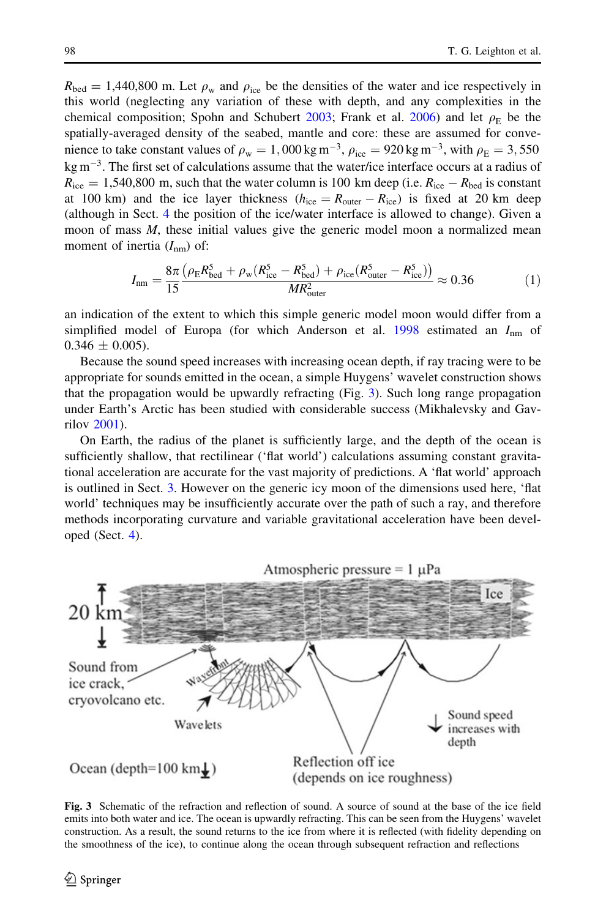$R_{\text{bed}} = 1,440,800$  m. Let  $\rho_w$  and  $\rho_{\text{ice}}$  be the densities of the water and ice respectively in this world (neglecting any variation of these with depth, and any complexities in the chemical composition; Spohn and Schubert [2003;](#page-25-0) Frank et al. [2006](#page-23-0)) and let  $\rho_E$  be the spatially-averaged density of the seabed, mantle and core: these are assumed for convenience to take constant values of  $\rho_w = 1$ , 000 kg m<sup>-3</sup>,  $\rho_{ice} = 920$  kg m<sup>-3</sup>, with  $\rho_E = 3$ , 550 kg  $\text{m}^{-3}$ . The first set of calculations assume that the water/ice interface occurs at a radius of  $R_{\text{ice}} = 1,540,800 \text{ m}$ , such that the water column is 100 km deep (i.e.  $R_{\text{ice}} - R_{\text{bed}}$  is constant at 100 km) and the ice layer thickness  $(h_{ice} = R_{outer} - R_{ice})$  is fixed at 20 km deep (although in Sect. [4](#page-12-0) the position of the ice/water interface is allowed to change). Given a moon of mass M, these initial values give the generic model moon a normalized mean moment of inertia  $(I_{nm})$  of:

$$
I_{\rm nm} = \frac{8\pi \left(\rho_{\rm E} R_{\rm bed}^5 + \rho_{\rm w} (R_{\rm ice}^5 - R_{\rm bed}^5) + \rho_{\rm ice} (R_{\rm outer}^5 - R_{\rm ice}^5) \right)}{MR_{\rm outer}^2} \approx 0.36 \tag{1}
$$

an indication of the extent to which this simple generic model moon would differ from a simplified model of Europa (for which Anderson et al. [1998](#page-22-0) estimated an  $I_{nm}$  of  $0.346 \pm 0.005$ ).

Because the sound speed increases with increasing ocean depth, if ray tracing were to be appropriate for sounds emitted in the ocean, a simple Huygens' wavelet construction shows that the propagation would be upwardly refracting (Fig. 3). Such long range propagation under Earth's Arctic has been studied with considerable success (Mikhalevsky and Gavrilov [2001\)](#page-25-0).

On Earth, the radius of the planet is sufficiently large, and the depth of the ocean is sufficiently shallow, that rectilinear ('flat world') calculations assuming constant gravitational acceleration are accurate for the vast majority of predictions. A 'flat world' approach is outlined in Sect. [3](#page-9-0). However on the generic icy moon of the dimensions used here, 'flat world' techniques may be insufficiently accurate over the path of such a ray, and therefore methods incorporating curvature and variable gravitational acceleration have been developed (Sect. [4](#page-12-0)).



Fig. 3 Schematic of the refraction and reflection of sound. A source of sound at the base of the ice field emits into both water and ice. The ocean is upwardly refracting. This can be seen from the Huygens' wavelet construction. As a result, the sound returns to the ice from where it is reflected (with fidelity depending on the smoothness of the ice), to continue along the ocean through subsequent refraction and reflections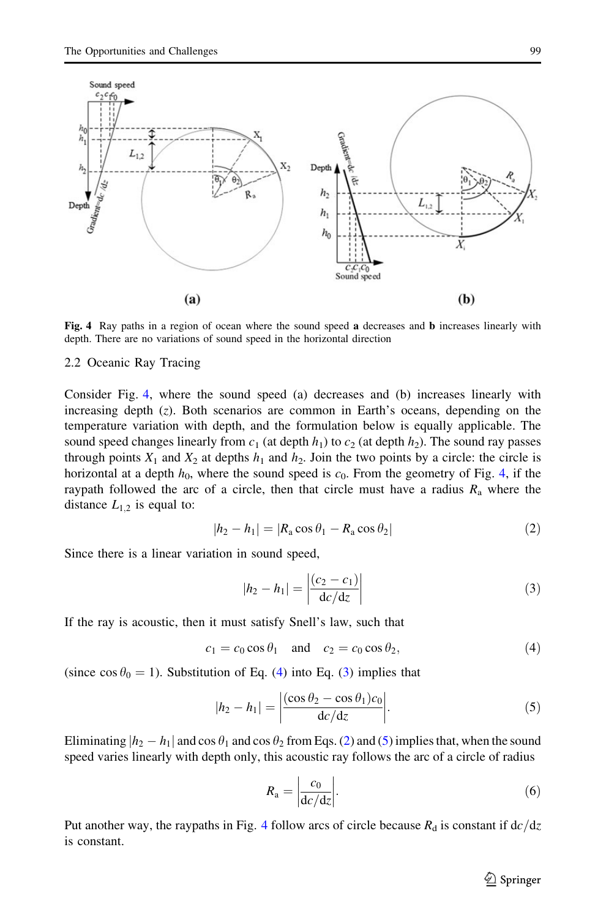<span id="page-8-0"></span>

Fig. 4 Ray paths in a region of ocean where the sound speed a decreases and **b** increases linearly with depth. There are no variations of sound speed in the horizontal direction

# 2.2 Oceanic Ray Tracing

Consider Fig. 4, where the sound speed (a) decreases and (b) increases linearly with increasing depth  $(z)$ . Both scenarios are common in Earth's oceans, depending on the temperature variation with depth, and the formulation below is equally applicable. The sound speed changes linearly from  $c_1$  (at depth  $h_1$ ) to  $c_2$  (at depth  $h_2$ ). The sound ray passes through points  $X_1$  and  $X_2$  at depths  $h_1$  and  $h_2$ . Join the two points by a circle: the circle is horizontal at a depth  $h_0$ , where the sound speed is  $c_0$ . From the geometry of Fig. 4, if the raypath followed the arc of a circle, then that circle must have a radius  $R_a$  where the distance  $L_{1,2}$  is equal to:

$$
|h_2 - h_1| = |R_a \cos \theta_1 - R_a \cos \theta_2| \tag{2}
$$

Since there is a linear variation in sound speed,

$$
|h_2 - h_1| = \left| \frac{(c_2 - c_1)}{\mathrm{d}c/\mathrm{d}z} \right| \tag{3}
$$

If the ray is acoustic, then it must satisfy Snell's law, such that

$$
c_1 = c_0 \cos \theta_1 \quad \text{and} \quad c_2 = c_0 \cos \theta_2,\tag{4}
$$

(since cos  $\theta_0 = 1$ ). Substitution of Eq. (4) into Eq. (3) implies that

$$
|h_2 - h_1| = \left| \frac{(\cos \theta_2 - \cos \theta_1)c_0}{d c/dz} \right|.
$$
 (5)

Eliminating  $|h_2 - h_1|$  and cos  $\theta_1$  and cos  $\theta_2$  from Eqs. (2) and (5) implies that, when the sound speed varies linearly with depth only, this acoustic ray follows the arc of a circle of radius

$$
R_{\rm a} = \left| \frac{c_0}{\mathrm{d}c/\mathrm{d}z} \right|.\tag{6}
$$

Put another way, the raypaths in Fig. 4 follow arcs of circle because  $R_d$  is constant if  $dc/dz$ is constant.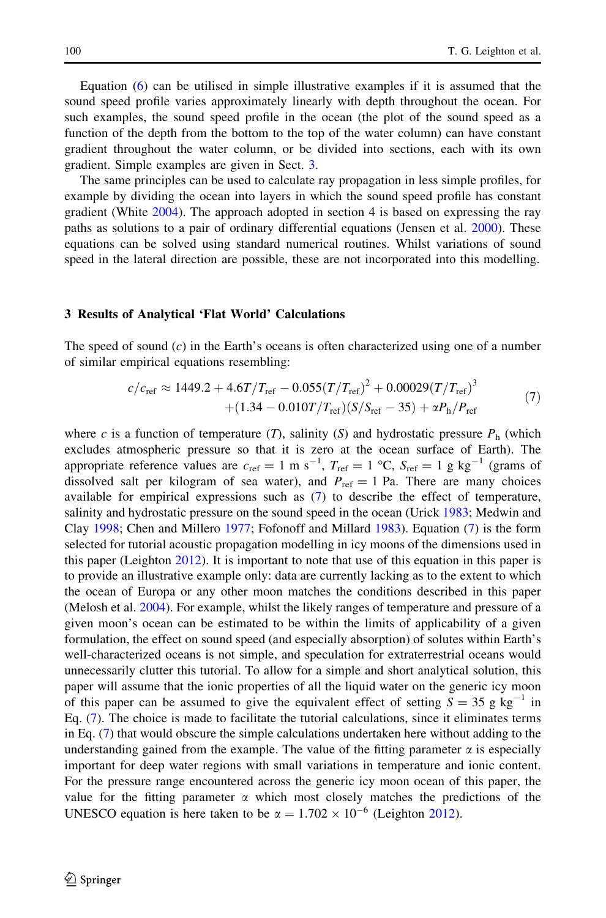<span id="page-9-0"></span>Equation [\(6](#page-8-0)) can be utilised in simple illustrative examples if it is assumed that the sound speed profile varies approximately linearly with depth throughout the ocean. For such examples, the sound speed profile in the ocean (the plot of the sound speed as a function of the depth from the bottom to the top of the water column) can have constant gradient throughout the water column, or be divided into sections, each with its own gradient. Simple examples are given in Sect. 3.

The same principles can be used to calculate ray propagation in less simple profiles, for example by dividing the ocean into layers in which the sound speed profile has constant gradient (White [2004](#page-25-0)). The approach adopted in section 4 is based on expressing the ray paths as solutions to a pair of ordinary differential equations (Jensen et al. [2000](#page-23-0)). These equations can be solved using standard numerical routines. Whilst variations of sound speed in the lateral direction are possible, these are not incorporated into this modelling.

#### 3 Results of Analytical 'Flat World' Calculations

The speed of sound  $(c)$  in the Earth's oceans is often characterized using one of a number of similar empirical equations resembling:

$$
c/c_{\text{ref}} \approx 1449.2 + 4.6T/T_{\text{ref}} - 0.055(T/T_{\text{ref}})^{2} + 0.00029(T/T_{\text{ref}})^{3}
$$
  
+(1.34 - 0.010T/T<sub>ref</sub>)(S/S<sub>ref</sub> - 35) +  $\alpha P_{\text{h}}/P_{\text{ref}}$  (7)

where c is a function of temperature (T), salinity (S) and hydrostatic pressure  $P_h$  (which excludes atmospheric pressure so that it is zero at the ocean surface of Earth). The appropriate reference values are  $c_{\text{ref}} = 1 \text{ m s}^{-1}$ ,  $T_{\text{ref}} = 1 \text{ °C}$ ,  $S_{\text{ref}} = 1 \text{ g kg}^{-1}$  (grams of dissolved salt per kilogram of sea water), and  $P_{ref} = 1$  Pa. There are many choices available for empirical expressions such as (7) to describe the effect of temperature, salinity and hydrostatic pressure on the sound speed in the ocean (Urick [1983](#page-25-0); Medwin and Clay [1998;](#page-24-0) Chen and Millero [1977;](#page-23-0) Fofonoff and Millard [1983\)](#page-23-0). Equation (7) is the form selected for tutorial acoustic propagation modelling in icy moons of the dimensions used in this paper (Leighton [2012](#page-24-0)). It is important to note that use of this equation in this paper is to provide an illustrative example only: data are currently lacking as to the extent to which the ocean of Europa or any other moon matches the conditions described in this paper (Melosh et al. [2004](#page-24-0)). For example, whilst the likely ranges of temperature and pressure of a given moon's ocean can be estimated to be within the limits of applicability of a given formulation, the effect on sound speed (and especially absorption) of solutes within Earth's well-characterized oceans is not simple, and speculation for extraterrestrial oceans would unnecessarily clutter this tutorial. To allow for a simple and short analytical solution, this paper will assume that the ionic properties of all the liquid water on the generic icy moon of this paper can be assumed to give the equivalent effect of setting  $S = 35$  g kg<sup>-1</sup> in Eq. (7). The choice is made to facilitate the tutorial calculations, since it eliminates terms in Eq. (7) that would obscure the simple calculations undertaken here without adding to the understanding gained from the example. The value of the fitting parameter  $\alpha$  is especially important for deep water regions with small variations in temperature and ionic content. For the pressure range encountered across the generic icy moon ocean of this paper, the value for the fitting parameter  $\alpha$  which most closely matches the predictions of the UNESCO equation is here taken to be  $\alpha = 1.702 \times 10^{-6}$  (Leighton [2012](#page-24-0)).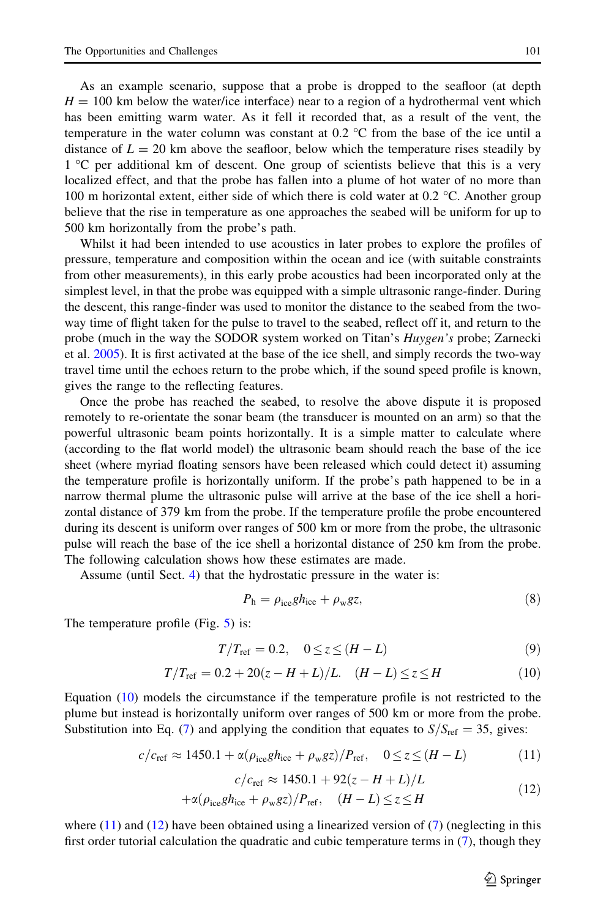<span id="page-10-0"></span>As an example scenario, suppose that a probe is dropped to the seafloor (at depth  $H = 100$  km below the water/ice interface) near to a region of a hydrothermal vent which has been emitting warm water. As it fell it recorded that, as a result of the vent, the temperature in the water column was constant at 0.2  $^{\circ}$ C from the base of the ice until a distance of  $L = 20$  km above the seafloor, below which the temperature rises steadily by 1 <sup>o</sup>C per additional km of descent. One group of scientists believe that this is a very localized effect, and that the probe has fallen into a plume of hot water of no more than 100 m horizontal extent, either side of which there is cold water at  $0.2 \degree C$ . Another group believe that the rise in temperature as one approaches the seabed will be uniform for up to 500 km horizontally from the probe's path.

Whilst it had been intended to use acoustics in later probes to explore the profiles of pressure, temperature and composition within the ocean and ice (with suitable constraints from other measurements), in this early probe acoustics had been incorporated only at the simplest level, in that the probe was equipped with a simple ultrasonic range-finder. During the descent, this range-finder was used to monitor the distance to the seabed from the twoway time of flight taken for the pulse to travel to the seabed, reflect off it, and return to the probe (much in the way the SODOR system worked on Titan's *Huygen's* probe; Zarnecki et al. [2005\)](#page-25-0). It is first activated at the base of the ice shell, and simply records the two-way travel time until the echoes return to the probe which, if the sound speed profile is known, gives the range to the reflecting features.

Once the probe has reached the seabed, to resolve the above dispute it is proposed remotely to re-orientate the sonar beam (the transducer is mounted on an arm) so that the powerful ultrasonic beam points horizontally. It is a simple matter to calculate where (according to the flat world model) the ultrasonic beam should reach the base of the ice sheet (where myriad floating sensors have been released which could detect it) assuming the temperature profile is horizontally uniform. If the probe's path happened to be in a narrow thermal plume the ultrasonic pulse will arrive at the base of the ice shell a horizontal distance of 379 km from the probe. If the temperature profile the probe encountered during its descent is uniform over ranges of 500 km or more from the probe, the ultrasonic pulse will reach the base of the ice shell a horizontal distance of 250 km from the probe. The following calculation shows how these estimates are made.

Assume (until Sect. [4](#page-12-0)) that the hydrostatic pressure in the water is:

$$
P_{\rm h} = \rho_{\rm ice} g h_{\rm ice} + \rho_{\rm w} g z,\tag{8}
$$

The temperature profile (Fig. [5](#page-11-0)) is:

$$
T/T_{\text{ref}} = 0.2, \quad 0 \le z \le (H - L) \tag{9}
$$

$$
T/T_{\text{ref}} = 0.2 + 20(z - H + L)/L. \quad (H - L) \le z \le H \tag{10}
$$

Equation (10) models the circumstance if the temperature profile is not restricted to the plume but instead is horizontally uniform over ranges of 500 km or more from the probe. Substitution into Eq. ([7\)](#page-9-0) and applying the condition that equates to  $S/S_{\text{ref}} = 35$ , gives:

$$
c/c_{\text{ref}} \approx 1450.1 + \alpha(\rho_{\text{ice}}gh_{\text{ice}} + \rho_{\text{w}}gz)/P_{\text{ref}}, \quad 0 \le z \le (H - L) \tag{11}
$$

$$
c/c_{\text{ref}} \approx 1450.1 + 92(z - H + L)/L
$$
 (12)

$$
+\alpha(\rho_{\text{ice}}gh_{\text{ice}} + \rho_{\text{w}}gz)/P_{\text{ref}}, \quad (H - L) \le z \le H
$$
\n(12)

where  $(11)$  and  $(12)$  have been obtained using a linearized version of  $(7)$  $(7)$  $(7)$  (neglecting in this first order tutorial calculation the quadratic and cubic temperature terms in ([7\)](#page-9-0), though they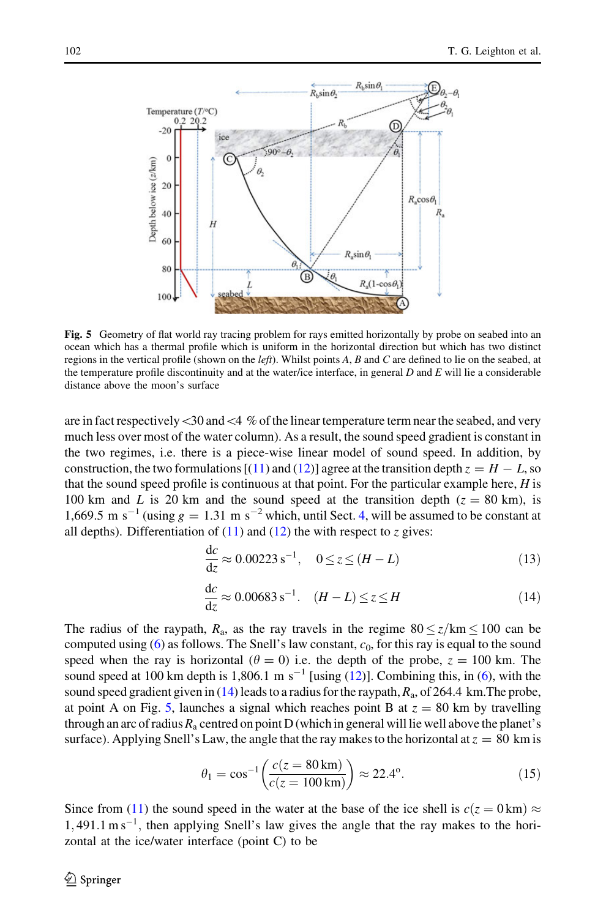<span id="page-11-0"></span>

Fig. 5 Geometry of flat world ray tracing problem for rays emitted horizontally by probe on seabed into an ocean which has a thermal profile which is uniform in the horizontal direction but which has two distinct regions in the vertical profile (shown on the *left*). Whilst points  $A$ ,  $B$  and  $C$  are defined to lie on the seabed, at the temperature profile discontinuity and at the water/ice interface, in general  $D$  and  $E$  will lie a considerable distance above the moon's surface

are in fact respectively  $\langle 30 \text{ and } 4 \% \text{ of the linear temperature term near the sealed, and very}$ much less over most of the water column). As a result, the sound speed gradient is constant in the two regimes, i.e. there is a piece-wise linear model of sound speed. In addition, by construction, the two formulations [[\(11\)](#page-10-0) and ([12](#page-10-0))] agree at the transition depth  $z = H - L$ , so that the sound speed profile is continuous at that point. For the particular example here,  $H$  is 100 km and L is 20 km and the sound speed at the transition depth ( $z = 80$  km), is 1,669.5 m s<sup>-1</sup> (using  $g = 1.31$  m s<sup>-2</sup> which, until Sect. [4,](#page-12-0) will be assumed to be constant at all depths). Differentiation of  $(11)$  and  $(12)$  the with respect to z gives:

$$
\frac{dc}{dz} \approx 0.00223 \, \text{s}^{-1}, \quad 0 \le z \le (H - L) \tag{13}
$$

$$
\frac{dc}{dz} \approx 0.00683 \, s^{-1}. \quad (H - L) \le z \le H \tag{14}
$$

The radius of the raypath,  $R_a$ , as the ray travels in the regime  $80 \le z/km \le 100$  can be computed using ([6\)](#page-8-0) as follows. The Snell's law constant,  $c_0$ , for this ray is equal to the sound speed when the ray is horizontal ( $\theta = 0$ ) i.e. the depth of the probe,  $z = 100$  km. The sound speed at 100 km depth is 1,806.1 m s<sup>-1</sup> [using  $(12)$ ]. Combining this, in  $(6)$  $(6)$ , with the sound speed gradient given in  $(14)$  leads to a radius for the raypath,  $R_a$ , of 264.4 km. The probe, at point A on Fig. 5, launches a signal which reaches point B at  $z = 80$  km by travelling through an arc of radius  $R_a$  centred on point D (which in general will lie well above the planet's surface). Applying Snell's Law, the angle that the ray makes to the horizontal at  $z = 80$  km is

$$
\theta_1 = \cos^{-1}\left(\frac{c(z = 80 \text{ km})}{c(z = 100 \text{ km})}\right) \approx 22.4^{\circ}.
$$
 (15)

Since from [\(11\)](#page-10-0) the sound speed in the water at the base of the ice shell is  $c(z = 0 \text{ km}) \approx$  $1,491.1 \text{ m s}^{-1}$ , then applying Snell's law gives the angle that the ray makes to the horizontal at the ice/water interface (point C) to be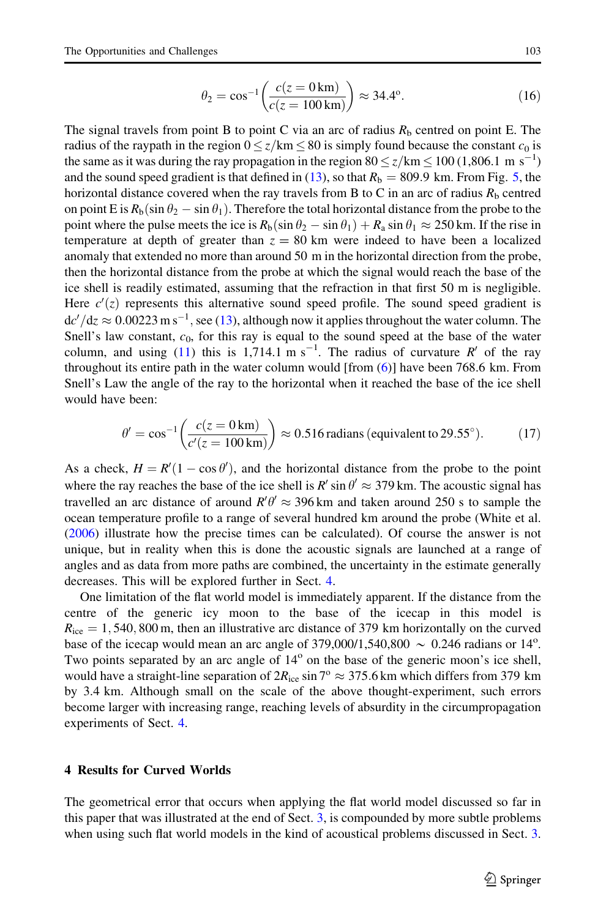<span id="page-12-0"></span>The signal travels from point B to point C via an arc of radius  $R<sub>b</sub>$  centred on point E. The radius of the raypath in the region  $0 \le z/km \le 80$  is simply found because the constant  $c_0$  is the same as it was during the ray propagation in the region  $80 \le z/km \le 100$  (1,806.1 m s<sup>-1</sup>) and the sound speed gradient is that defined in [\(13\)](#page-11-0), so that  $R<sub>b</sub> = 809.9$  km. From Fig. [5,](#page-11-0) the horizontal distance covered when the ray travels from B to C in an arc of radius  $R<sub>b</sub>$  centred on point E is  $R_b(\sin \theta_2 - \sin \theta_1)$ . Therefore the total horizontal distance from the probe to the point where the pulse meets the ice is  $R_b(\sin \theta_2 - \sin \theta_1) + R_a \sin \theta_1 \approx 250$  km. If the rise in temperature at depth of greater than  $z = 80$  km were indeed to have been a localized anomaly that extended no more than around 50 m in the horizontal direction from the probe, then the horizontal distance from the probe at which the signal would reach the base of the ice shell is readily estimated, assuming that the refraction in that first 50 m is negligible. Here  $c'(z)$  represents this alternative sound speed profile. The sound speed gradient is  $dc'/dz \approx 0.00223 \text{ m s}^{-1}$ , see [\(13\)](#page-11-0), although now it applies throughout the water column. The Snell's law constant,  $c_0$ , for this ray is equal to the sound speed at the base of the water column, and using [\(11\)](#page-10-0) this is 1,714.1 m s<sup>-1</sup>. The radius of curvature R' of the ray throughout its entire path in the water column would [from ([6](#page-8-0))] have been 768.6 km. From Snell's Law the angle of the ray to the horizontal when it reached the base of the ice shell would have been:

$$
\theta' = \cos^{-1}\left(\frac{c(z = 0 \text{ km})}{c'(z = 100 \text{ km})}\right) \approx 0.516 \text{ radians (equivalent to } 29.55^{\circ}).\tag{17}
$$

As a check,  $H = R'(1 - \cos \theta')$ , and the horizontal distance from the probe to the point where the ray reaches the base of the ice shell is  $R' \sin \theta' \approx 379$  km. The acoustic signal has travelled an arc distance of around  $R' \theta' \approx 396 \text{ km}$  and taken around 250 s to sample the ocean temperature profile to a range of several hundred km around the probe (White et al. ([2006\)](#page-25-0) illustrate how the precise times can be calculated). Of course the answer is not unique, but in reality when this is done the acoustic signals are launched at a range of angles and as data from more paths are combined, the uncertainty in the estimate generally decreases. This will be explored further in Sect. 4.

One limitation of the flat world model is immediately apparent. If the distance from the centre of the generic icy moon to the base of the icecap in this model is  $R_{\text{ice}} = 1,540,800 \,\text{m}$ , then an illustrative arc distance of 379 km horizontally on the curved base of the icecap would mean an arc angle of  $379,000/1,540,800 \sim 0.246$  radians or 14<sup>o</sup>. Two points separated by an arc angle of  $14<sup>o</sup>$  on the base of the generic moon's ice shell, would have a straight-line separation of  $2R_{\text{ice}} \sin 7^\circ \approx 375.6 \text{ km}$  which differs from 379 km by 3.4 km. Although small on the scale of the above thought-experiment, such errors become larger with increasing range, reaching levels of absurdity in the circumpropagation experiments of Sect. 4.

# 4 Results for Curved Worlds

The geometrical error that occurs when applying the flat world model discussed so far in this paper that was illustrated at the end of Sect. [3,](#page-9-0) is compounded by more subtle problems when using such flat world models in the kind of acoustical problems discussed in Sect. [3](#page-9-0).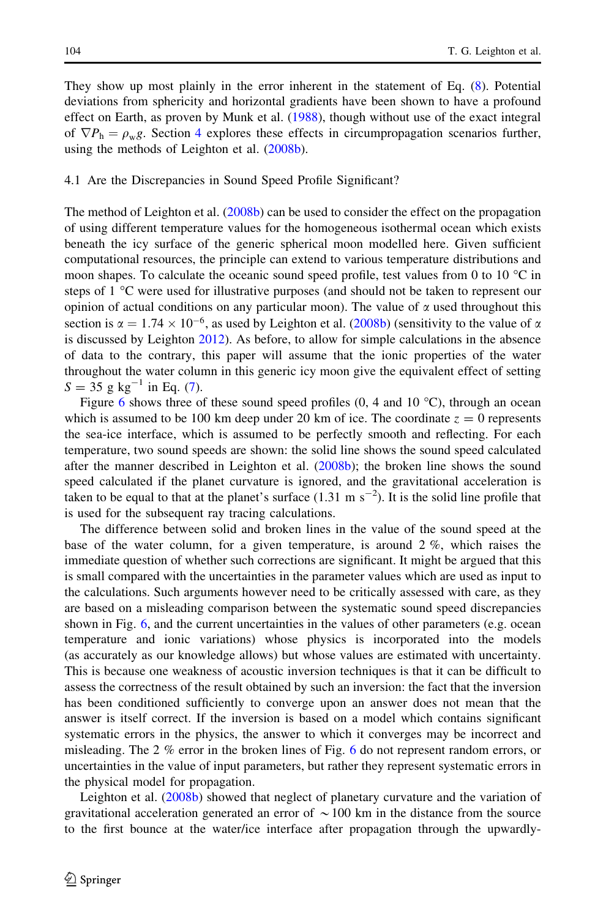<span id="page-13-0"></span>They show up most plainly in the error inherent in the statement of Eq. ([8](#page-10-0)). Potential deviations from sphericity and horizontal gradients have been shown to have a profound effect on Earth, as proven by Munk et al. ([1988\)](#page-25-0), though without use of the exact integral of  $\nabla P_h = \rho_w g$ . Section [4](#page-12-0) explores these effects in circumpropagation scenarios further, using the methods of Leighton et al. ([2008b](#page-24-0)).

### 4.1 Are the Discrepancies in Sound Speed Profile Significant?

The method of Leighton et al. ([2008b\)](#page-24-0) can be used to consider the effect on the propagation of using different temperature values for the homogeneous isothermal ocean which exists beneath the icy surface of the generic spherical moon modelled here. Given sufficient computational resources, the principle can extend to various temperature distributions and moon shapes. To calculate the oceanic sound speed profile, test values from 0 to 10  $^{\circ}$ C in steps of  $1 \degree C$  were used for illustrative purposes (and should not be taken to represent our opinion of actual conditions on any particular moon). The value of  $\alpha$  used throughout this section is  $\alpha = 1.74 \times 10^{-6}$ , as used by Leighton et al. ([2008b](#page-24-0)) (sensitivity to the value of  $\alpha$ is discussed by Leighton [2012](#page-24-0)). As before, to allow for simple calculations in the absence of data to the contrary, this paper will assume that the ionic properties of the water throughout the water column in this generic icy moon give the equivalent effect of setting  $S = 35$  g kg<sup>-1</sup> in Eq. [\(7\)](#page-9-0).

Figure [6](#page-14-0) shows three of these sound speed profiles (0, 4 and 10  $^{\circ}$ C), through an ocean which is assumed to be 100 km deep under 20 km of ice. The coordinate  $z = 0$  represents the sea-ice interface, which is assumed to be perfectly smooth and reflecting. For each temperature, two sound speeds are shown: the solid line shows the sound speed calculated after the manner described in Leighton et al. [\(2008b\)](#page-24-0); the broken line shows the sound speed calculated if the planet curvature is ignored, and the gravitational acceleration is taken to be equal to that at the planet's surface  $(1.31 \text{ m s}^{-2})$ . It is the solid line profile that is used for the subsequent ray tracing calculations.

The difference between solid and broken lines in the value of the sound speed at the base of the water column, for a given temperature, is around 2 %, which raises the immediate question of whether such corrections are significant. It might be argued that this is small compared with the uncertainties in the parameter values which are used as input to the calculations. Such arguments however need to be critically assessed with care, as they are based on a misleading comparison between the systematic sound speed discrepancies shown in Fig. [6,](#page-14-0) and the current uncertainties in the values of other parameters (e.g. ocean temperature and ionic variations) whose physics is incorporated into the models (as accurately as our knowledge allows) but whose values are estimated with uncertainty. This is because one weakness of acoustic inversion techniques is that it can be difficult to assess the correctness of the result obtained by such an inversion: the fact that the inversion has been conditioned sufficiently to converge upon an answer does not mean that the answer is itself correct. If the inversion is based on a model which contains significant systematic errors in the physics, the answer to which it converges may be incorrect and misleading. The 2 % error in the broken lines of Fig. [6](#page-14-0) do not represent random errors, or uncertainties in the value of input parameters, but rather they represent systematic errors in the physical model for propagation.

Leighton et al. [\(2008b\)](#page-24-0) showed that neglect of planetary curvature and the variation of gravitational acceleration generated an error of  $\sim$  100 km in the distance from the source to the first bounce at the water/ice interface after propagation through the upwardly-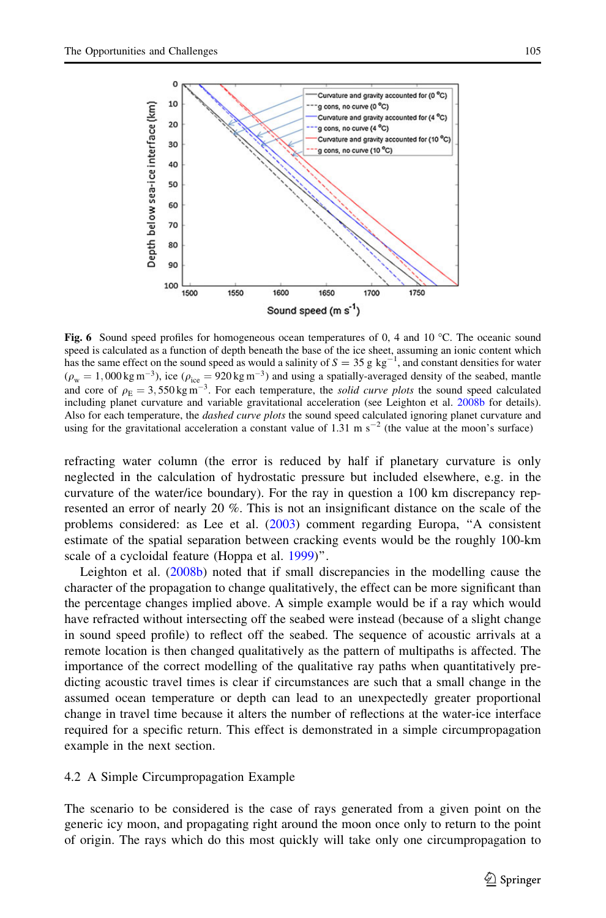<span id="page-14-0"></span>

Fig. 6 Sound speed profiles for homogeneous ocean temperatures of 0, 4 and 10  $^{\circ}$ C. The oceanic sound speed is calculated as a function of depth beneath the base of the ice sheet, assuming an ionic content which has the same effect on the sound speed as would a salinity of  $S = 35$  g kg<sup>-1</sup>, and constant densities for water  $(\rho_w = 1,000 \text{ kg m}^{-3})$ , ice  $(\rho_{ice} = 920 \text{ kg m}^{-3})$  and using a spatially-averaged density of the seabed, mantle and core of  $\rho_{\rm E} = 3,550 \,\rm kg \, \rm m^{-3}$ . For each temperature, the solid curve plots the sound speed calculated including planet curvature and variable gravitational acceleration (see Leighton et al. [2008b](#page-24-0) for details). Also for each temperature, the *dashed curve plots* the sound speed calculated ignoring planet curvature and using for the gravitational acceleration a constant value of  $1.31 \text{ m s}^{-2}$  (the value at the moon's surface)

refracting water column (the error is reduced by half if planetary curvature is only neglected in the calculation of hydrostatic pressure but included elsewhere, e.g. in the curvature of the water/ice boundary). For the ray in question a 100 km discrepancy represented an error of nearly 20 %. This is not an insignificant distance on the scale of the problems considered: as Lee et al. ([2003](#page-24-0)) comment regarding Europa, ''A consistent estimate of the spatial separation between cracking events would be the roughly 100-km scale of a cycloidal feature (Hoppa et al. [1999\)](#page-23-0)''.

Leighton et al. [\(2008b](#page-24-0)) noted that if small discrepancies in the modelling cause the character of the propagation to change qualitatively, the effect can be more significant than the percentage changes implied above. A simple example would be if a ray which would have refracted without intersecting off the seabed were instead (because of a slight change in sound speed profile) to reflect off the seabed. The sequence of acoustic arrivals at a remote location is then changed qualitatively as the pattern of multipaths is affected. The importance of the correct modelling of the qualitative ray paths when quantitatively predicting acoustic travel times is clear if circumstances are such that a small change in the assumed ocean temperature or depth can lead to an unexpectedly greater proportional change in travel time because it alters the number of reflections at the water-ice interface required for a specific return. This effect is demonstrated in a simple circumpropagation example in the next section.

# 4.2 A Simple Circumpropagation Example

The scenario to be considered is the case of rays generated from a given point on the generic icy moon, and propagating right around the moon once only to return to the point of origin. The rays which do this most quickly will take only one circumpropagation to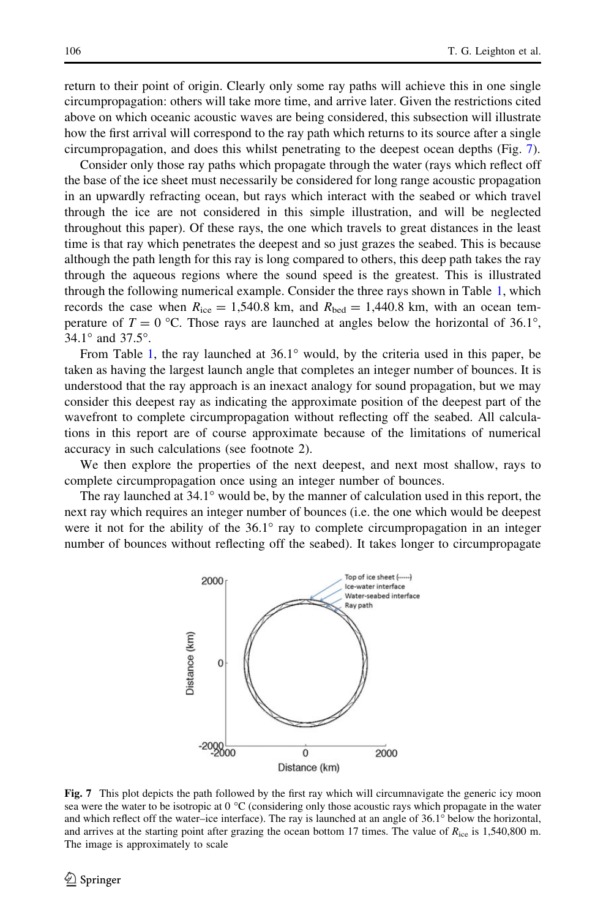<span id="page-15-0"></span>return to their point of origin. Clearly only some ray paths will achieve this in one single circumpropagation: others will take more time, and arrive later. Given the restrictions cited above on which oceanic acoustic waves are being considered, this subsection will illustrate how the first arrival will correspond to the ray path which returns to its source after a single circumpropagation, and does this whilst penetrating to the deepest ocean depths (Fig. 7).

Consider only those ray paths which propagate through the water (rays which reflect off the base of the ice sheet must necessarily be considered for long range acoustic propagation in an upwardly refracting ocean, but rays which interact with the seabed or which travel through the ice are not considered in this simple illustration, and will be neglected throughout this paper). Of these rays, the one which travels to great distances in the least time is that ray which penetrates the deepest and so just grazes the seabed. This is because although the path length for this ray is long compared to others, this deep path takes the ray through the aqueous regions where the sound speed is the greatest. This is illustrated through the following numerical example. Consider the three rays shown in Table [1,](#page-16-0) which records the case when  $R_{ice} = 1,540.8$  km, and  $R_{hed} = 1,440.8$  km, with an ocean temperature of  $T = 0$  °C. Those rays are launched at angles below the horizontal of 36.1°,  $34.1^{\circ}$  and  $37.5^{\circ}$ .

From Table [1,](#page-16-0) the ray launched at  $36.1^\circ$  would, by the criteria used in this paper, be taken as having the largest launch angle that completes an integer number of bounces. It is understood that the ray approach is an inexact analogy for sound propagation, but we may consider this deepest ray as indicating the approximate position of the deepest part of the wavefront to complete circumpropagation without reflecting off the seabed. All calculations in this report are of course approximate because of the limitations of numerical accuracy in such calculations (see footnote 2).

We then explore the properties of the next deepest, and next most shallow, rays to complete circumpropagation once using an integer number of bounces.

The ray launched at  $34.1^\circ$  would be, by the manner of calculation used in this report, the next ray which requires an integer number of bounces (i.e. the one which would be deepest were it not for the ability of the  $36.1^\circ$  ray to complete circumpropagation in an integer number of bounces without reflecting off the seabed). It takes longer to circumpropagate



Fig. 7 This plot depicts the path followed by the first ray which will circumnavigate the generic icy moon sea were the water to be isotropic at  $0^{\circ}$ C (considering only those acoustic rays which propagate in the water and which reflect off the water–ice interface). The ray is launched at an angle of  $36.1^\circ$  below the horizontal, and arrives at the starting point after grazing the ocean bottom 17 times. The value of  $R_{\text{ice}}$  is 1,540,800 m. The image is approximately to scale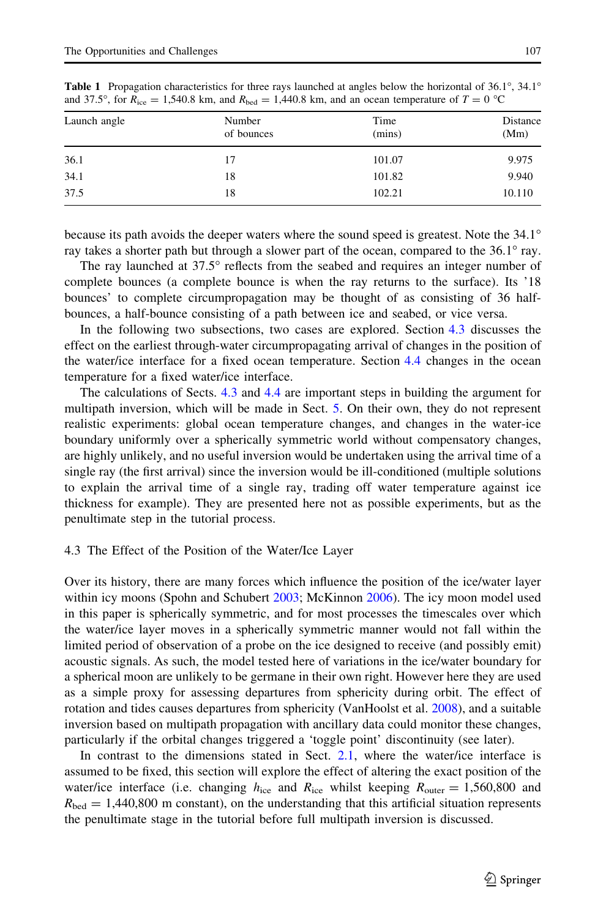| and $3/0.5^{\circ}$ , for $K_{ice} = 1,340.8$ km, and $K_{bed} = 1,440.8$ km, and an ocean temperature of $T = 0$ °C. |                      |                |                  |  |  |
|-----------------------------------------------------------------------------------------------------------------------|----------------------|----------------|------------------|--|--|
| Launch angle                                                                                                          | Number<br>of bounces | Time<br>(mins) | Distance<br>(Mm) |  |  |
| 36.1                                                                                                                  |                      | 101.07         | 9.975            |  |  |

<span id="page-16-0"></span>**Table 1** Propagation characteristics for three rays launched at angles below the horizontal of 36.1°, 34.1° and 37.5°, for  $R_{\text{ice}} = 1.540.8$  km, and  $R_{\text{bad}} = 1.440.8$  km, and an ocean temperature of  $T = 0$  °C and 37.5°, for  $R_{\text{ice}} = 1,540.8$  km, and  $R_{\text{bed}} = 1,440.8$  km, and an ocean temperature of  $T = 0$  °C

because its path avoids the deeper waters where the sound speed is greatest. Note the 34.1 ray takes a shorter path but through a slower part of the ocean, compared to the  $36.1^\circ$  ray.

34.1 18 101.82 9.940 37.5 18 102.21 10.110

The ray launched at  $37.5^{\circ}$  reflects from the seabed and requires an integer number of complete bounces (a complete bounce is when the ray returns to the surface). Its '18 bounces' to complete circumpropagation may be thought of as consisting of 36 halfbounces, a half-bounce consisting of a path between ice and seabed, or vice versa.

In the following two subsections, two cases are explored. Section 4.3 discusses the effect on the earliest through-water circumpropagating arrival of changes in the position of the water/ice interface for a fixed ocean temperature. Section [4.4](#page-17-0) changes in the ocean temperature for a fixed water/ice interface.

The calculations of Sects. 4.3 and [4.4](#page-17-0) are important steps in building the argument for multipath inversion, which will be made in Sect. [5](#page-20-0). On their own, they do not represent realistic experiments: global ocean temperature changes, and changes in the water-ice boundary uniformly over a spherically symmetric world without compensatory changes, are highly unlikely, and no useful inversion would be undertaken using the arrival time of a single ray (the first arrival) since the inversion would be ill-conditioned (multiple solutions to explain the arrival time of a single ray, trading off water temperature against ice thickness for example). They are presented here not as possible experiments, but as the penultimate step in the tutorial process.

#### 4.3 The Effect of the Position of the Water/Ice Layer

Over its history, there are many forces which influence the position of the ice/water layer within icy moons (Spohn and Schubert [2003](#page-25-0); McKinnon [2006\)](#page-24-0). The icy moon model used in this paper is spherically symmetric, and for most processes the timescales over which the water/ice layer moves in a spherically symmetric manner would not fall within the limited period of observation of a probe on the ice designed to receive (and possibly emit) acoustic signals. As such, the model tested here of variations in the ice/water boundary for a spherical moon are unlikely to be germane in their own right. However here they are used as a simple proxy for assessing departures from sphericity during orbit. The effect of rotation and tides causes departures from sphericity (VanHoolst et al. [2008](#page-25-0)), and a suitable inversion based on multipath propagation with ancillary data could monitor these changes, particularly if the orbital changes triggered a 'toggle point' discontinuity (see later).

In contrast to the dimensions stated in Sect. [2.1,](#page-6-0) where the water/ice interface is assumed to be fixed, this section will explore the effect of altering the exact position of the water/ice interface (i.e. changing  $h_{\text{ice}}$  and  $R_{\text{ice}}$  whilst keeping  $R_{\text{outer}} = 1,560,800$  and  $R_{\text{bed}} = 1,440,800$  m constant), on the understanding that this artificial situation represents the penultimate stage in the tutorial before full multipath inversion is discussed.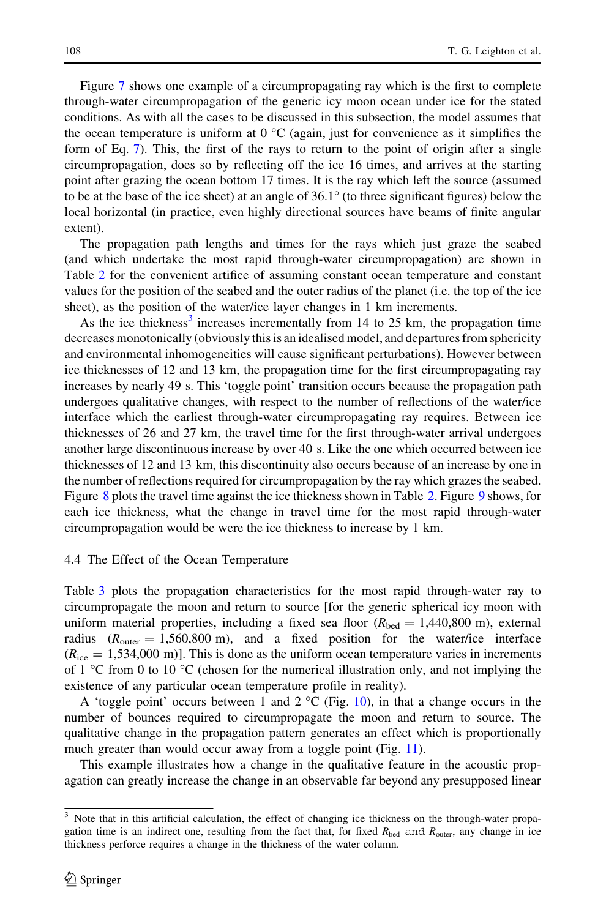<span id="page-17-0"></span>Figure [7](#page-15-0) shows one example of a circumpropagating ray which is the first to complete through-water circumpropagation of the generic icy moon ocean under ice for the stated conditions. As with all the cases to be discussed in this subsection, the model assumes that the ocean temperature is uniform at  $0^{\circ}C$  (again, just for convenience as it simplifies the form of Eq. [7](#page-9-0)). This, the first of the rays to return to the point of origin after a single circumpropagation, does so by reflecting off the ice 16 times, and arrives at the starting point after grazing the ocean bottom 17 times. It is the ray which left the source (assumed to be at the base of the ice sheet) at an angle of  $36.1^{\circ}$  (to three significant figures) below the local horizontal (in practice, even highly directional sources have beams of finite angular extent).

The propagation path lengths and times for the rays which just graze the seabed (and which undertake the most rapid through-water circumpropagation) are shown in Table [2](#page-18-0) for the convenient artifice of assuming constant ocean temperature and constant values for the position of the seabed and the outer radius of the planet (i.e. the top of the ice sheet), as the position of the water/ice layer changes in 1 km increments.

As the ice thickness<sup>3</sup> increases incrementally from 14 to 25 km, the propagation time decreases monotonically (obviously this is an idealised model, and departures from sphericity and environmental inhomogeneities will cause significant perturbations). However between ice thicknesses of 12 and 13 km, the propagation time for the first circumpropagating ray increases by nearly 49 s. This 'toggle point' transition occurs because the propagation path undergoes qualitative changes, with respect to the number of reflections of the water/ice interface which the earliest through-water circumpropagating ray requires. Between ice thicknesses of 26 and 27 km, the travel time for the first through-water arrival undergoes another large discontinuous increase by over 40 s. Like the one which occurred between ice thicknesses of 12 and 13 km, this discontinuity also occurs because of an increase by one in the number of reflections required for circumpropagation by the ray which grazes the seabed. Figure [8](#page-18-0) plots the travel time against the ice thickness shown in Table [2](#page-18-0). Figure [9](#page-19-0) shows, for each ice thickness, what the change in travel time for the most rapid through-water circumpropagation would be were the ice thickness to increase by 1 km.

### 4.4 The Effect of the Ocean Temperature

Table [3](#page-19-0) plots the propagation characteristics for the most rapid through-water ray to circumpropagate the moon and return to source [for the generic spherical icy moon with uniform material properties, including a fixed sea floor  $(R_{\text{hed}} = 1,440,800 \text{ m})$ , external radius  $(R_{\text{outer}} = 1,560,800 \text{ m})$ , and a fixed position for the water/ice interface  $(R<sub>ice</sub> = 1,534,000 \text{ m})$ . This is done as the uniform ocean temperature varies in increments of 1  $\degree$ C from 0 to 10  $\degree$ C (chosen for the numerical illustration only, and not implying the existence of any particular ocean temperature profile in reality).

A 'toggle point' occurs between 1 and  $2^{\circ}C$  (Fig. [10\)](#page-19-0), in that a change occurs in the number of bounces required to circumpropagate the moon and return to source. The qualitative change in the propagation pattern generates an effect which is proportionally much greater than would occur away from a toggle point (Fig. [11\)](#page-20-0).

This example illustrates how a change in the qualitative feature in the acoustic propagation can greatly increase the change in an observable far beyond any presupposed linear

<sup>&</sup>lt;sup>3</sup> Note that in this artificial calculation, the effect of changing ice thickness on the through-water propagation time is an indirect one, resulting from the fact that, for fixed  $R_{\text{bed}}$  and  $R_{\text{outer}}$ , any change in ice thickness perforce requires a change in the thickness of the water column.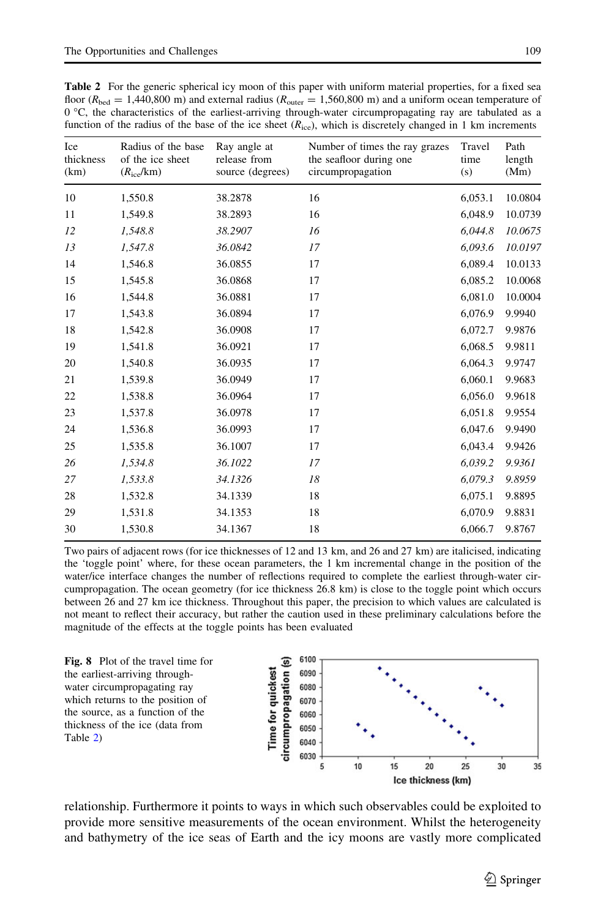<span id="page-18-0"></span>Table 2 For the generic spherical icy moon of this paper with uniform material properties, for a fixed sea floor ( $R_{\text{bed}} = 1,440,800$  m) and external radius ( $R_{\text{outer}} = 1,560,800$  m) and a uniform ocean temperature of  $0^{\circ}$ C, the characteristics of the earliest-arriving through-water circumpropagating ray are tabulated as a function of the radius of the base of the ice sheet  $(R_{ice})$ , which is discretely changed in 1 km increments

| Ice<br>thickness<br>(km) | Radius of the base<br>of the ice sheet<br>$(R_{\rm ice}/\rm km)$ | Ray angle at<br>release from<br>source (degrees) | Number of times the ray grazes<br>the seafloor during one<br>circumpropagation | Travel<br>time<br>(s) | Path<br>length<br>(Mm) |
|--------------------------|------------------------------------------------------------------|--------------------------------------------------|--------------------------------------------------------------------------------|-----------------------|------------------------|
| 10                       | 1,550.8                                                          | 38.2878                                          | 16                                                                             | 6,053.1               | 10.0804                |
| 11                       | 1,549.8                                                          | 38.2893                                          | 16                                                                             | 6,048.9               | 10.0739                |
| 12                       | 1,548.8                                                          | 38.2907                                          | 16                                                                             | 6.044.8               | 10.0675                |
| 13                       | 1,547.8                                                          | 36.0842                                          | 17                                                                             | 6,093.6               | 10.0197                |
| 14                       | 1,546.8                                                          | 36.0855                                          | 17                                                                             | 6,089.4               | 10.0133                |
| 15                       | 1,545.8                                                          | 36.0868                                          | 17                                                                             | 6,085.2               | 10.0068                |
| 16                       | 1,544.8                                                          | 36.0881                                          | 17                                                                             | 6,081.0               | 10.0004                |
| 17                       | 1,543.8                                                          | 36.0894                                          | 17                                                                             | 6,076.9               | 9.9940                 |
| 18                       | 1,542.8                                                          | 36.0908                                          | 17                                                                             | 6,072.7               | 9.9876                 |
| 19                       | 1,541.8                                                          | 36.0921                                          | 17                                                                             | 6,068.5               | 9.9811                 |
| 20                       | 1,540.8                                                          | 36.0935                                          | 17                                                                             | 6,064.3               | 9.9747                 |
| 21                       | 1,539.8                                                          | 36.0949                                          | 17                                                                             | 6,060.1               | 9.9683                 |
| 22                       | 1,538.8                                                          | 36.0964                                          | 17                                                                             | 6,056.0               | 9.9618                 |
| 23                       | 1,537.8                                                          | 36.0978                                          | 17                                                                             | 6,051.8               | 9.9554                 |
| 24                       | 1,536.8                                                          | 36.0993                                          | 17                                                                             | 6,047.6               | 9.9490                 |
| 25                       | 1,535.8                                                          | 36.1007                                          | 17                                                                             | 6,043.4               | 9.9426                 |
| 26                       | 1,534.8                                                          | 36.1022                                          | 17                                                                             | 6,039.2               | 9.9361                 |
| 27                       | 1,533.8                                                          | 34.1326                                          | 18                                                                             | 6,079.3               | 9.8959                 |
| 28                       | 1,532.8                                                          | 34.1339                                          | 18                                                                             | 6,075.1               | 9.8895                 |
| 29                       | 1,531.8                                                          | 34.1353                                          | 18                                                                             | 6,070.9               | 9.8831                 |
| 30                       | 1,530.8                                                          | 34.1367                                          | 18                                                                             | 6,066.7               | 9.8767                 |

Two pairs of adjacent rows (for ice thicknesses of 12 and 13 km, and 26 and 27 km) are italicised, indicating the 'toggle point' where, for these ocean parameters, the 1 km incremental change in the position of the water/ice interface changes the number of reflections required to complete the earliest through-water circumpropagation. The ocean geometry (for ice thickness 26.8 km) is close to the toggle point which occurs between 26 and 27 km ice thickness. Throughout this paper, the precision to which values are calculated is not meant to reflect their accuracy, but rather the caution used in these preliminary calculations before the magnitude of the effects at the toggle points has been evaluated

Fig. 8 Plot of the travel time for the earliest-arriving throughwater circumpropagating ray which returns to the position of the source, as a function of the thickness of the ice (data from Table 2)



relationship. Furthermore it points to ways in which such observables could be exploited to provide more sensitive measurements of the ocean environment. Whilst the heterogeneity and bathymetry of the ice seas of Earth and the icy moons are vastly more complicated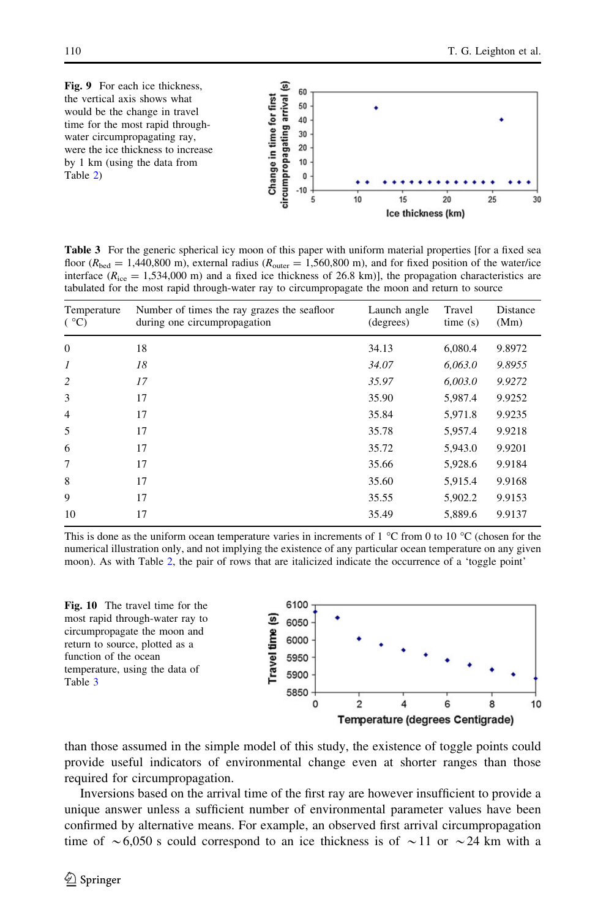<span id="page-19-0"></span>

Table 3 For the generic spherical icy moon of this paper with uniform material properties [for a fixed sea floor ( $R_{\text{bed}} = 1,440,800$  m), external radius ( $R_{\text{outer}} = 1,560,800$  m), and for fixed position of the water/ice interface ( $R_{ice} = 1,534,000$  m) and a fixed ice thickness of 26.8 km)], the propagation characteristics are tabulated for the most rapid through-water ray to circumpropagate the moon and return to source

| Temperature<br>(°C) | Number of times the ray grazes the seafloor<br>during one circumpropagation | Launch angle<br>(degrees) | Travel<br>time(s) | Distance<br>(Mm) |
|---------------------|-----------------------------------------------------------------------------|---------------------------|-------------------|------------------|
| $\mathbf{0}$        | 18                                                                          | 34.13                     | 6,080.4           | 9.8972           |
| 1                   | 18                                                                          | 34.07                     | 6,063.0           | 9.8955           |
| 2                   | 17                                                                          | 35.97                     | 6,003.0           | 9.9272           |
| 3                   | 17                                                                          | 35.90                     | 5,987.4           | 9.9252           |
| $\overline{4}$      | 17                                                                          | 35.84                     | 5,971.8           | 9.9235           |
| 5                   | 17                                                                          | 35.78                     | 5,957.4           | 9.9218           |
| 6                   | 17                                                                          | 35.72                     | 5,943.0           | 9.9201           |
| 7                   | 17                                                                          | 35.66                     | 5,928.6           | 9.9184           |
| 8                   | 17                                                                          | 35.60                     | 5,915.4           | 9.9168           |
| 9                   | 17                                                                          | 35.55                     | 5,902.2           | 9.9153           |
| 10                  | 17                                                                          | 35.49                     | 5,889.6           | 9.9137           |

This is done as the uniform ocean temperature varies in increments of 1  $^{\circ}$ C from 0 to 10  $^{\circ}$ C (chosen for the numerical illustration only, and not implying the existence of any particular ocean temperature on any given moon). As with Table [2](#page-18-0), the pair of rows that are italicized indicate the occurrence of a 'toggle point'



than those assumed in the simple model of this study, the existence of toggle points could provide useful indicators of environmental change even at shorter ranges than those required for circumpropagation.

Inversions based on the arrival time of the first ray are however insufficient to provide a unique answer unless a sufficient number of environmental parameter values have been confirmed by alternative means. For example, an observed first arrival circumpropagation time of  $\sim 6,050$  s could correspond to an ice thickness is of  $\sim 11$  or  $\sim 24$  km with a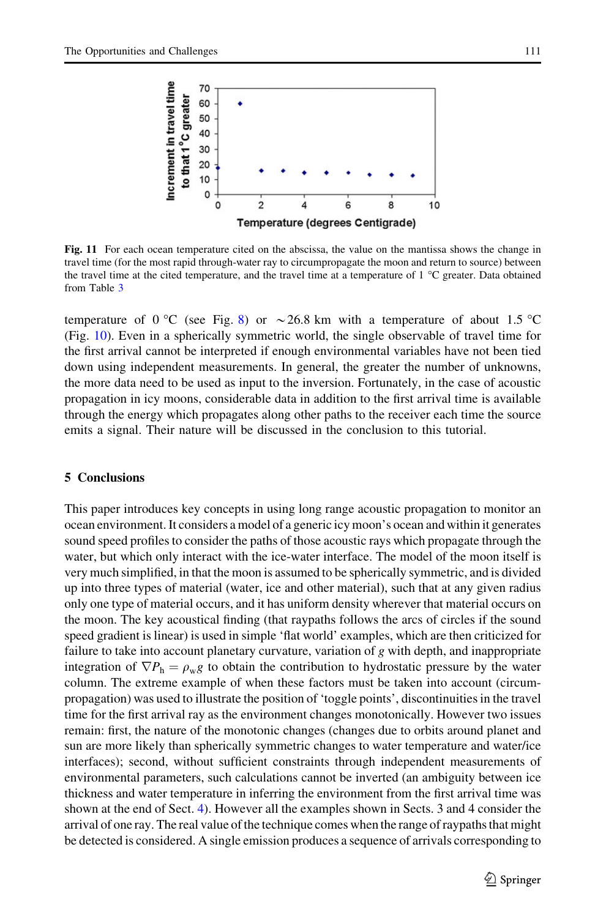<span id="page-20-0"></span>

Fig. 11 For each ocean temperature cited on the abscissa, the value on the mantissa shows the change in travel time (for the most rapid through-water ray to circumpropagate the moon and return to source) between the travel time at the cited temperature, and the travel time at a temperature of  $1 \degree C$  greater. Data obtained from Table [3](#page-19-0)

temperature of 0 °C (see Fig. [8](#page-18-0)) or  $\sim$  26.8 km with a temperature of about 1.5 °C (Fig. [10](#page-19-0)). Even in a spherically symmetric world, the single observable of travel time for the first arrival cannot be interpreted if enough environmental variables have not been tied down using independent measurements. In general, the greater the number of unknowns, the more data need to be used as input to the inversion. Fortunately, in the case of acoustic propagation in icy moons, considerable data in addition to the first arrival time is available through the energy which propagates along other paths to the receiver each time the source emits a signal. Their nature will be discussed in the conclusion to this tutorial.

# 5 Conclusions

This paper introduces key concepts in using long range acoustic propagation to monitor an ocean environment. It considers a model of a generic icy moon's ocean and within it generates sound speed profiles to consider the paths of those acoustic rays which propagate through the water, but which only interact with the ice-water interface. The model of the moon itself is very much simplified, in that the moon is assumed to be spherically symmetric, and is divided up into three types of material (water, ice and other material), such that at any given radius only one type of material occurs, and it has uniform density wherever that material occurs on the moon. The key acoustical finding (that raypaths follows the arcs of circles if the sound speed gradient is linear) is used in simple 'flat world' examples, which are then criticized for failure to take into account planetary curvature, variation of  $g$  with depth, and inappropriate integration of  $\nabla P_h = \rho_w g$  to obtain the contribution to hydrostatic pressure by the water column. The extreme example of when these factors must be taken into account (circumpropagation) was used to illustrate the position of 'toggle points', discontinuities in the travel time for the first arrival ray as the environment changes monotonically. However two issues remain: first, the nature of the monotonic changes (changes due to orbits around planet and sun are more likely than spherically symmetric changes to water temperature and water/ice interfaces); second, without sufficient constraints through independent measurements of environmental parameters, such calculations cannot be inverted (an ambiguity between ice thickness and water temperature in inferring the environment from the first arrival time was shown at the end of Sect. [4\)](#page-12-0). However all the examples shown in Sects. 3 and 4 consider the arrival of one ray. The real value of the technique comes when the range of raypaths that might be detected is considered. A single emission produces a sequence of arrivals corresponding to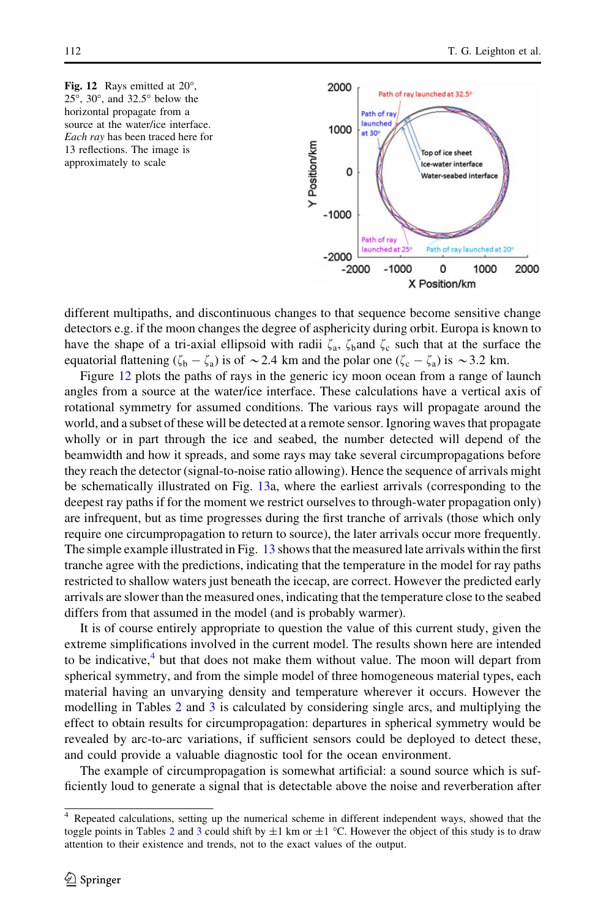



different multipaths, and discontinuous changes to that sequence become sensitive change detectors e.g. if the moon changes the degree of asphericity during orbit. Europa is known to have the shape of a tri-axial ellipsoid with radii  $\zeta_a$ ,  $\zeta_b$  and  $\zeta_c$  such that at the surface the equatorial flattening  $(\zeta_b - \zeta_a)$  is of  $\sim$  2.4 km and the polar one  $(\zeta_c - \zeta_a)$  is  $\sim$  3.2 km.

Figure 12 plots the paths of rays in the generic icy moon ocean from a range of launch angles from a source at the water/ice interface. These calculations have a vertical axis of rotational symmetry for assumed conditions. The various rays will propagate around the world, and a subset of these will be detected at a remote sensor. Ignoring waves that propagate wholly or in part through the ice and seabed, the number detected will depend of the beamwidth and how it spreads, and some rays may take several circumpropagations before they reach the detector (signal-to-noise ratio allowing). Hence the sequence of arrivals might be schematically illustrated on Fig. [13](#page-22-0)a, where the earliest arrivals (corresponding to the deepest ray paths if for the moment we restrict ourselves to through-water propagation only) are infrequent, but as time progresses during the first tranche of arrivals (those which only require one circumpropagation to return to source), the later arrivals occur more frequently. The simple example illustrated in Fig. [13](#page-22-0) shows that the measured late arrivals within the first tranche agree with the predictions, indicating that the temperature in the model for ray paths restricted to shallow waters just beneath the icecap, are correct. However the predicted early arrivals are slower than the measured ones, indicating that the temperature close to the seabed differs from that assumed in the model (and is probably warmer).

It is of course entirely appropriate to question the value of this current study, given the extreme simplifications involved in the current model. The results shown here are intended to be indicative, $4$  but that does not make them without value. The moon will depart from spherical symmetry, and from the simple model of three homogeneous material types, each material having an unvarying density and temperature wherever it occurs. However the modelling in Tables [2](#page-18-0) and [3](#page-19-0) is calculated by considering single arcs, and multiplying the effect to obtain results for circumpropagation: departures in spherical symmetry would be revealed by arc-to-arc variations, if sufficient sensors could be deployed to detect these, and could provide a valuable diagnostic tool for the ocean environment.

The example of circumpropagation is somewhat artificial: a sound source which is sufficiently loud to generate a signal that is detectable above the noise and reverberation after

<sup>&</sup>lt;sup>4</sup> Repeated calculations, setting up the numerical scheme in different independent ways, showed that the toggle points in Tables [2](#page-18-0) and [3](#page-19-0) could shift by  $\pm 1$  km or  $\pm 1$  °C. However the object of this study is to draw attention to their existence and trends, not to the exact values of the output.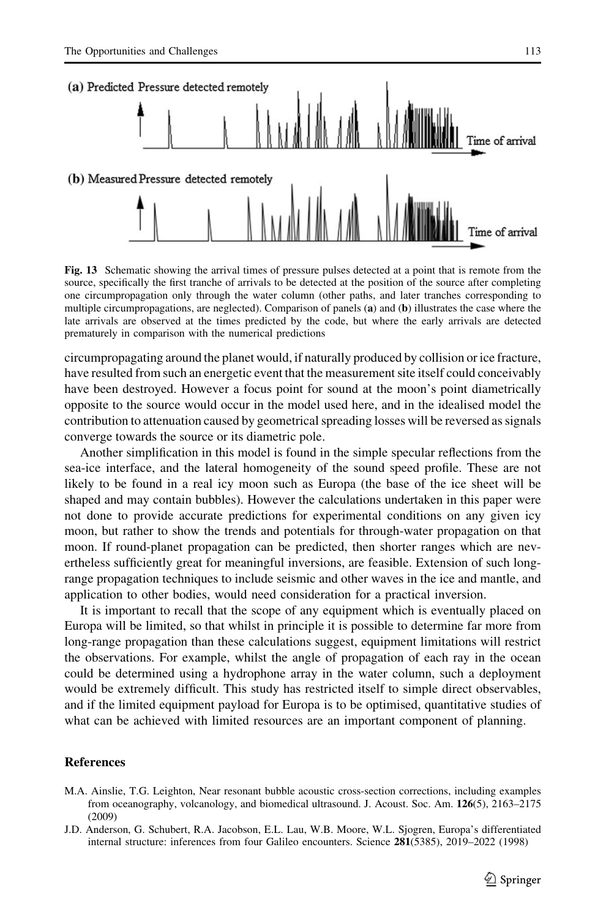<span id="page-22-0"></span>

Fig. 13 Schematic showing the arrival times of pressure pulses detected at a point that is remote from the source, specifically the first tranche of arrivals to be detected at the position of the source after completing one circumpropagation only through the water column (other paths, and later tranches corresponding to multiple circumpropagations, are neglected). Comparison of panels (a) and (b) illustrates the case where the late arrivals are observed at the times predicted by the code, but where the early arrivals are detected prematurely in comparison with the numerical predictions

circumpropagating around the planet would, if naturally produced by collision or ice fracture, have resulted from such an energetic event that the measurement site itself could conceivably have been destroyed. However a focus point for sound at the moon's point diametrically opposite to the source would occur in the model used here, and in the idealised model the contribution to attenuation caused by geometrical spreading losses will be reversed as signals converge towards the source or its diametric pole.

Another simplification in this model is found in the simple specular reflections from the sea-ice interface, and the lateral homogeneity of the sound speed profile. These are not likely to be found in a real icy moon such as Europa (the base of the ice sheet will be shaped and may contain bubbles). However the calculations undertaken in this paper were not done to provide accurate predictions for experimental conditions on any given icy moon, but rather to show the trends and potentials for through-water propagation on that moon. If round-planet propagation can be predicted, then shorter ranges which are nevertheless sufficiently great for meaningful inversions, are feasible. Extension of such longrange propagation techniques to include seismic and other waves in the ice and mantle, and application to other bodies, would need consideration for a practical inversion.

It is important to recall that the scope of any equipment which is eventually placed on Europa will be limited, so that whilst in principle it is possible to determine far more from long-range propagation than these calculations suggest, equipment limitations will restrict the observations. For example, whilst the angle of propagation of each ray in the ocean could be determined using a hydrophone array in the water column, such a deployment would be extremely difficult. This study has restricted itself to simple direct observables, and if the limited equipment payload for Europa is to be optimised, quantitative studies of what can be achieved with limited resources are an important component of planning.

#### **References**

- M.A. Ainslie, T.G. Leighton, Near resonant bubble acoustic cross-section corrections, including examples from oceanography, volcanology, and biomedical ultrasound. J. Acoust. Soc. Am. 126(5), 2163–2175 (2009)
- J.D. Anderson, G. Schubert, R.A. Jacobson, E.L. Lau, W.B. Moore, W.L. Sjogren, Europa's differentiated internal structure: inferences from four Galileo encounters. Science 281(5385), 2019–2022 (1998)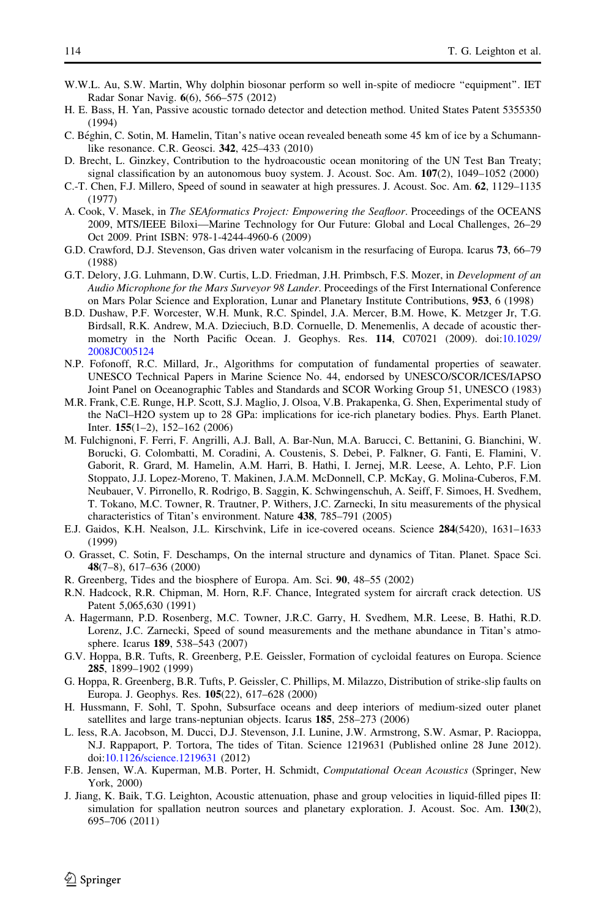- <span id="page-23-0"></span>W.W.L. Au, S.W. Martin, Why dolphin biosonar perform so well in-spite of mediocre "equipment". IET Radar Sonar Navig. 6(6), 566–575 (2012)
- H. E. Bass, H. Yan, Passive acoustic tornado detector and detection method. United States Patent 5355350 (1994)
- C. Béghin, C. Sotin, M. Hamelin, Titan's native ocean revealed beneath some 45 km of ice by a Schumannlike resonance. C.R. Geosci. 342, 425–433 (2010)
- D. Brecht, L. Ginzkey, Contribution to the hydroacoustic ocean monitoring of the UN Test Ban Treaty; signal classification by an autonomous buoy system. J. Acoust. Soc. Am.  $107(2)$ ,  $1049-1052$  (2000)
- C.-T. Chen, F.J. Millero, Speed of sound in seawater at high pressures. J. Acoust. Soc. Am. 62, 1129–1135 (1977)
- A. Cook, V. Masek, in The SEAformatics Project: Empowering the Seafloor. Proceedings of the OCEANS 2009, MTS/IEEE Biloxi—Marine Technology for Our Future: Global and Local Challenges, 26–29 Oct 2009. Print ISBN: 978-1-4244-4960-6 (2009)
- G.D. Crawford, D.J. Stevenson, Gas driven water volcanism in the resurfacing of Europa. Icarus 73, 66–79 (1988)
- G.T. Delory, J.G. Luhmann, D.W. Curtis, L.D. Friedman, J.H. Primbsch, F.S. Mozer, in Development of an Audio Microphone for the Mars Surveyor 98 Lander. Proceedings of the First International Conference on Mars Polar Science and Exploration, Lunar and Planetary Institute Contributions, 953, 6 (1998)
- B.D. Dushaw, P.F. Worcester, W.H. Munk, R.C. Spindel, J.A. Mercer, B.M. Howe, K. Metzger Jr, T.G. Birdsall, R.K. Andrew, M.A. Dzieciuch, B.D. Cornuelle, D. Menemenlis, A decade of acoustic thermometry in the North Pacific Ocean. J. Geophys. Res. 114, C07021 (2009). doi:[10.1029/](http://dx.doi.org/10.1029/2008JC005124) [2008JC005124](http://dx.doi.org/10.1029/2008JC005124)
- N.P. Fofonoff, R.C. Millard, Jr., Algorithms for computation of fundamental properties of seawater. UNESCO Technical Papers in Marine Science No. 44, endorsed by UNESCO/SCOR/ICES/IAPSO Joint Panel on Oceanographic Tables and Standards and SCOR Working Group 51, UNESCO (1983)
- M.R. Frank, C.E. Runge, H.P. Scott, S.J. Maglio, J. Olsoa, V.B. Prakapenka, G. Shen, Experimental study of the NaCl–H2O system up to 28 GPa: implications for ice-rich planetary bodies. Phys. Earth Planet. Inter. 155(1–2), 152–162 (2006)
- M. Fulchignoni, F. Ferri, F. Angrilli, A.J. Ball, A. Bar-Nun, M.A. Barucci, C. Bettanini, G. Bianchini, W. Borucki, G. Colombatti, M. Coradini, A. Coustenis, S. Debei, P. Falkner, G. Fanti, E. Flamini, V. Gaborit, R. Grard, M. Hamelin, A.M. Harri, B. Hathi, I. Jernej, M.R. Leese, A. Lehto, P.F. Lion Stoppato, J.J. Lopez-Moreno, T. Makinen, J.A.M. McDonnell, C.P. McKay, G. Molina-Cuberos, F.M. Neubauer, V. Pirronello, R. Rodrigo, B. Saggin, K. Schwingenschuh, A. Seiff, F. Simoes, H. Svedhem, T. Tokano, M.C. Towner, R. Trautner, P. Withers, J.C. Zarnecki, In situ measurements of the physical characteristics of Titan's environment. Nature 438, 785–791 (2005)
- E.J. Gaidos, K.H. Nealson, J.L. Kirschvink, Life in ice-covered oceans. Science 284(5420), 1631–1633 (1999)
- O. Grasset, C. Sotin, F. Deschamps, On the internal structure and dynamics of Titan. Planet. Space Sci. 48(7–8), 617–636 (2000)
- R. Greenberg, Tides and the biosphere of Europa. Am. Sci. 90, 48–55 (2002)
- R.N. Hadcock, R.R. Chipman, M. Horn, R.F. Chance, Integrated system for aircraft crack detection. US Patent 5,065,630 (1991)
- A. Hagermann, P.D. Rosenberg, M.C. Towner, J.R.C. Garry, H. Svedhem, M.R. Leese, B. Hathi, R.D. Lorenz, J.C. Zarnecki, Speed of sound measurements and the methane abundance in Titan's atmosphere. Icarus 189, 538–543 (2007)
- G.V. Hoppa, B.R. Tufts, R. Greenberg, P.E. Geissler, Formation of cycloidal features on Europa. Science 285, 1899–1902 (1999)
- G. Hoppa, R. Greenberg, B.R. Tufts, P. Geissler, C. Phillips, M. Milazzo, Distribution of strike-slip faults on Europa. J. Geophys. Res. 105(22), 617–628 (2000)
- H. Hussmann, F. Sohl, T. Spohn, Subsurface oceans and deep interiors of medium-sized outer planet satellites and large trans-neptunian objects. Icarus 185, 258–273 (2006)
- L. Iess, R.A. Jacobson, M. Ducci, D.J. Stevenson, J.I. Lunine, J.W. Armstrong, S.W. Asmar, P. Racioppa, N.J. Rappaport, P. Tortora, The tides of Titan. Science 1219631 (Published online 28 June 2012). doi[:10.1126/science.1219631](http://dx.doi.org/10.1126/science.1219631) (2012)
- F.B. Jensen, W.A. Kuperman, M.B. Porter, H. Schmidt, Computational Ocean Acoustics (Springer, New York, 2000)
- J. Jiang, K. Baik, T.G. Leighton, Acoustic attenuation, phase and group velocities in liquid-filled pipes II: simulation for spallation neutron sources and planetary exploration. J. Acoust. Soc. Am. 130(2), 695–706 (2011)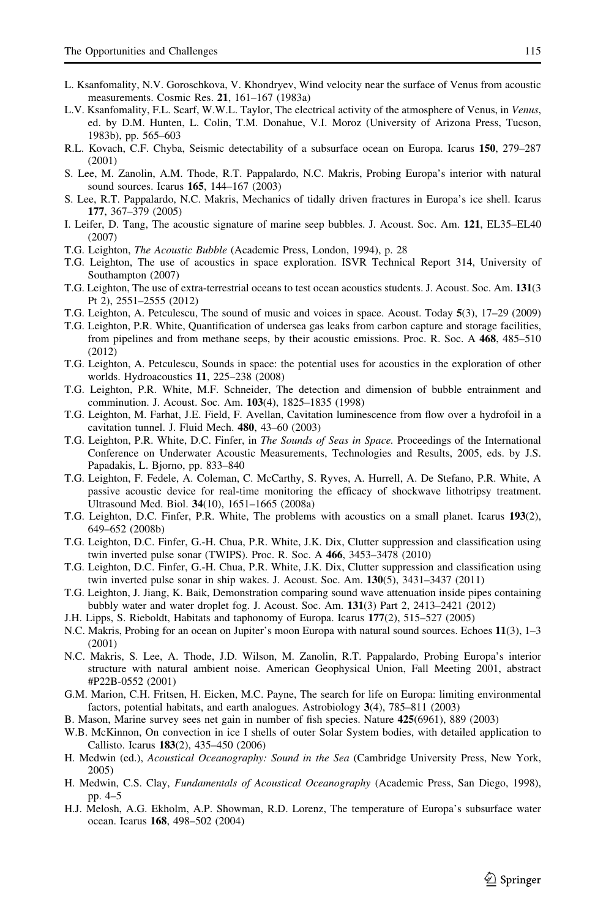- <span id="page-24-0"></span>L. Ksanfomality, N.V. Goroschkova, V. Khondryev, Wind velocity near the surface of Venus from acoustic measurements. Cosmic Res. 21, 161–167 (1983a)
- L.V. Ksanfomality, F.L. Scarf, W.W.L. Taylor, The electrical activity of the atmosphere of Venus, in Venus, ed. by D.M. Hunten, L. Colin, T.M. Donahue, V.I. Moroz (University of Arizona Press, Tucson, 1983b), pp. 565–603
- R.L. Kovach, C.F. Chyba, Seismic detectability of a subsurface ocean on Europa. Icarus 150, 279–287 (2001)
- S. Lee, M. Zanolin, A.M. Thode, R.T. Pappalardo, N.C. Makris, Probing Europa's interior with natural sound sources. Icarus 165, 144–167 (2003)
- S. Lee, R.T. Pappalardo, N.C. Makris, Mechanics of tidally driven fractures in Europa's ice shell. Icarus 177, 367–379 (2005)
- I. Leifer, D. Tang, The acoustic signature of marine seep bubbles. J. Acoust. Soc. Am. 121, EL35–EL40 (2007)
- T.G. Leighton, The Acoustic Bubble (Academic Press, London, 1994), p. 28
- T.G. Leighton, The use of acoustics in space exploration. ISVR Technical Report 314, University of Southampton (2007)
- T.G. Leighton, The use of extra-terrestrial oceans to test ocean acoustics students. J. Acoust. Soc. Am. 131(3 Pt 2), 2551–2555 (2012)
- T.G. Leighton, A. Petculescu, The sound of music and voices in space. Acoust. Today 5(3), 17–29 (2009)
- T.G. Leighton, P.R. White, Quantification of undersea gas leaks from carbon capture and storage facilities, from pipelines and from methane seeps, by their acoustic emissions. Proc. R. Soc. A 468, 485–510 (2012)
- T.G. Leighton, A. Petculescu, Sounds in space: the potential uses for acoustics in the exploration of other worlds. Hydroacoustics 11, 225–238 (2008)
- T.G. Leighton, P.R. White, M.F. Schneider, The detection and dimension of bubble entrainment and comminution. J. Acoust. Soc. Am. 103(4), 1825–1835 (1998)
- T.G. Leighton, M. Farhat, J.E. Field, F. Avellan, Cavitation luminescence from flow over a hydrofoil in a cavitation tunnel. J. Fluid Mech. 480, 43–60 (2003)
- T.G. Leighton, P.R. White, D.C. Finfer, in The Sounds of Seas in Space. Proceedings of the International Conference on Underwater Acoustic Measurements, Technologies and Results, 2005, eds. by J.S. Papadakis, L. Bjorno, pp. 833–840
- T.G. Leighton, F. Fedele, A. Coleman, C. McCarthy, S. Ryves, A. Hurrell, A. De Stefano, P.R. White, A passive acoustic device for real-time monitoring the efficacy of shockwave lithotripsy treatment. Ultrasound Med. Biol. 34(10), 1651–1665 (2008a)
- T.G. Leighton, D.C. Finfer, P.R. White, The problems with acoustics on a small planet. Icarus 193(2), 649–652 (2008b)
- T.G. Leighton, D.C. Finfer, G.-H. Chua, P.R. White, J.K. Dix, Clutter suppression and classification using twin inverted pulse sonar (TWIPS). Proc. R. Soc. A 466, 3453–3478 (2010)
- T.G. Leighton, D.C. Finfer, G.-H. Chua, P.R. White, J.K. Dix, Clutter suppression and classification using twin inverted pulse sonar in ship wakes. J. Acoust. Soc. Am. 130(5), 3431–3437 (2011)
- T.G. Leighton, J. Jiang, K. Baik, Demonstration comparing sound wave attenuation inside pipes containing bubbly water and water droplet fog. J. Acoust. Soc. Am. 131(3) Part 2, 2413–2421 (2012)
- J.H. Lipps, S. Rieboldt, Habitats and taphonomy of Europa. Icarus 177(2), 515–527 (2005)
- N.C. Makris, Probing for an ocean on Jupiter's moon Europa with natural sound sources. Echoes 11(3), 1–3 (2001)
- N.C. Makris, S. Lee, A. Thode, J.D. Wilson, M. Zanolin, R.T. Pappalardo, Probing Europa's interior structure with natural ambient noise. American Geophysical Union, Fall Meeting 2001, abstract #P22B-0552 (2001)
- G.M. Marion, C.H. Fritsen, H. Eicken, M.C. Payne, The search for life on Europa: limiting environmental factors, potential habitats, and earth analogues. Astrobiology 3(4), 785–811 (2003)
- B. Mason, Marine survey sees net gain in number of fish species. Nature 425(6961), 889 (2003)
- W.B. McKinnon, On convection in ice I shells of outer Solar System bodies, with detailed application to Callisto. Icarus 183(2), 435–450 (2006)
- H. Medwin (ed.), Acoustical Oceanography: Sound in the Sea (Cambridge University Press, New York, 2005)
- H. Medwin, C.S. Clay, Fundamentals of Acoustical Oceanography (Academic Press, San Diego, 1998), pp. 4–5
- H.J. Melosh, A.G. Ekholm, A.P. Showman, R.D. Lorenz, The temperature of Europa's subsurface water ocean. Icarus 168, 498–502 (2004)